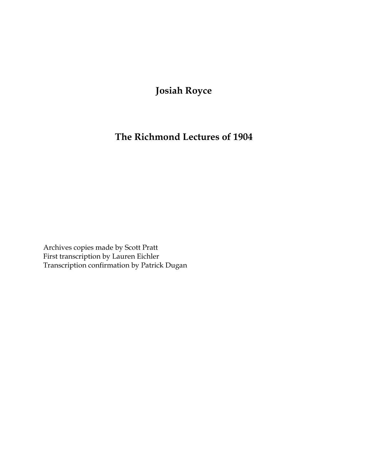# **Josiah Royce**

## **The Richmond Lectures of 1904**

Archives copies made by Scott Pratt First transcription by Lauren Eichler Transcription confirmation by Patrick Dugan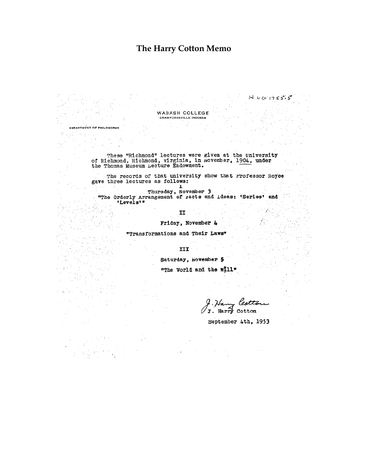### **The Harry Cotton Memo**

WABASH COLLEGE CRAWFORDSVILLE, INDIANA

DEPARTMENT OF PHILOSOPHY

These "Richmond" lectures were given at the University<br>of Richmond, Richmond, virginia, in november, 1904, under<br>the Thomas Museum Lecture Endowment.

The records of that university show that Professor Royce gave three lectures as follows:

ı

Thursday, November 3<br>"The Orderly Arrangement of racts and ideas: 'Series' and "Levels""

II

Friday, November 4

"Transformations and Their Laws"

III

Saturday, november 5

"The World and the Will"

lest J. Harry Cotton

September 4th, 1953

 $N$   $U$   $G$   $1755.5$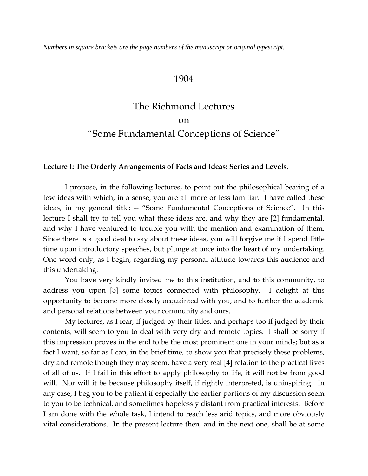*Numbers in square brackets are the page numbers of the manuscript or original typescript.*

### 1904

# The Richmond Lectures on "Some Fundamental Conceptions of Science"

#### **Lecture I: The Orderly Arrangements of Facts and Ideas: Series and Levels**.

I propose, in the following lectures, to point out the philosophical bearing of a few ideas with which, in a sense, you are all more or less familiar. I have called these ideas, in my general title: -- "Some Fundamental Conceptions of Science". In this lecture I shall try to tell you what these ideas are, and why they are [2] fundamental, and why I have ventured to trouble you with the mention and examination of them. Since there is a good deal to say about these ideas, you will forgive me if I spend little time upon introductory speeches, but plunge at once into the heart of my undertaking. One word only, as I begin, regarding my personal attitude towards this audience and this undertaking.

You have very kindly invited me to this institution, and to this community, to address you upon [3] some topics connected with philosophy. I delight at this opportunity to become more closely acquainted with you, and to further the academic and personal relations between your community and ours.

My lectures, as I fear, if judged by their titles, and perhaps too if judged by their contents, will seem to you to deal with very dry and remote topics. I shall be sorry if this impression proves in the end to be the most prominent one in your minds; but as a fact I want, so far as I can, in the brief time, to show you that precisely these problems, dry and remote though they may seem, have a very real [4] relation to the practical lives of all of us. If I fail in this effort to apply philosophy to life, it will not be from good will. Nor will it be because philosophy itself, if rightly interpreted, is uninspiring. In any case, I beg you to be patient if especially the earlier portions of my discussion seem to you to be technical, and sometimes hopelessly distant from practical interests. Before I am done with the whole task, I intend to reach less arid topics, and more obviously vital considerations. In the present lecture then, and in the next one, shall be at some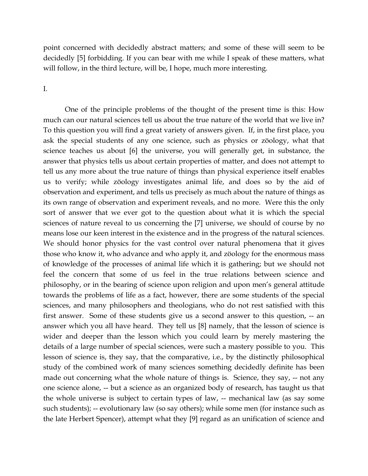point concerned with decidedly abstract matters; and some of these will seem to be decidedly [5] forbidding. If you can bear with me while I speak of these matters, what will follow, in the third lecture, will be, I hope, much more interesting.

#### I.

One of the principle problems of the thought of the present time is this: How much can our natural sciences tell us about the true nature of the world that we live in? To this question you will find a great variety of answers given. If, in the first place, you ask the special students of any one science, such as physics or zöology, what that science teaches us about [6] the universe, you will generally get, in substance, the answer that physics tells us about certain properties of matter, and does not attempt to tell us any more about the true nature of things than physical experience itself enables us to verify; while zöology investigates animal life, and does so by the aid of observation and experiment, and tells us precisely as much about the nature of things as its own range of observation and experiment reveals, and no more. Were this the only sort of answer that we ever got to the question about what it is which the special sciences of nature reveal to us concerning the [7] universe, we should of course by no means lose our keen interest in the existence and in the progress of the natural sciences. We should honor physics for the vast control over natural phenomena that it gives those who know it, who advance and who apply it, and zöology for the enormous mass of knowledge of the processes of animal life which it is gathering; but we should not feel the concern that some of us feel in the true relations between science and philosophy, or in the bearing of science upon religion and upon men's general attitude towards the problems of life as a fact, however, there are some students of the special sciences, and many philosophers and theologians, who do not rest satisfied with this first answer. Some of these students give us a second answer to this question, -- an answer which you all have heard. They tell us [8] namely, that the lesson of science is wider and deeper than the lesson which you could learn by merely mastering the details of a large number of special sciences, were such a mastery possible to you. This lesson of science is, they say, that the comparative, i.e., by the distinctly philosophical study of the combined work of many sciences something decidedly definite has been made out concerning what the whole nature of things is. Science, they say, -- not any one science alone, -- but a science as an organized body of research, has taught us that the whole universe is subject to certain types of law, -- mechanical law (as say some such students); -- evolutionary law (so say others); while some men (for instance such as the late Herbert Spencer), attempt what they [9] regard as an unification of science and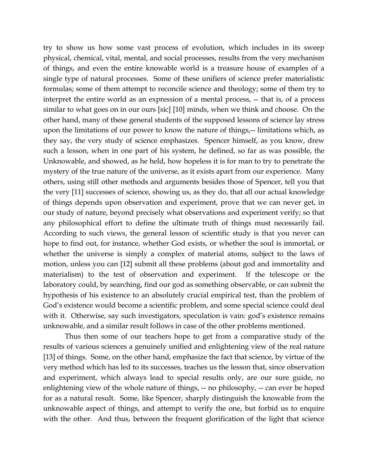try to show us how some vast process of evolution, which includes in its sweep physical, chemical, vital, mental, and social processes, results from the very mechanism of things, and even the entire knowable world is a treasure house of examples of a single type of natural processes. Some of these unifiers of science prefer materialistic formulas; some of them attempt to reconcile science and theology; some of them try to interpret the entire world as an expression of a mental process, -- that is, of a process similar to what goes on in our ours [sic] [10] minds, when we think and choose. On the other hand, many of these general students of the supposed lessons of science lay stress upon the limitations of our power to know the nature of things,-- limitations which, as they say, the very study of science emphasizes. Spencer himself, as you know, drew such a lesson, when in one part of his system, he defined, so far as was possible, the Unknowable, and showed, as he held, how hopeless it is for man to try to penetrate the mystery of the true nature of the universe, as it exists apart from our experience. Many others, using still other methods and arguments besides those of Spencer, tell you that the very [11] successes of science, showing us, as they do, that all our actual knowledge of things depends upon observation and experiment, prove that we can never get, in our study of nature, beyond precisely what observations and experiment verify; so that any philosophical effort to define the ultimate truth of things must necessarily fail. According to such views, the general lesson of scientific study is that you never can hope to find out, for instance, whether God exists, or whether the soul is immortal, or whether the universe is simply a complex of material atoms, subject to the laws of motion, unless you can [12] submit all these problems (about god and immortality and materialism) to the test of observation and experiment. If the telescope or the laboratory could, by searching, find our god as something observable, or can submit the hypothesis of his existence to an absolutely crucial empirical test, than the problem of God's existence would become a scientific problem, and some special science could deal with it. Otherwise, say such investigators, speculation is vain: god's existence remains unknowable, and a similar result follows in case of the other problems mentioned.

Thus then some of our teachers hope to get from a comparative study of the results of various sciences a genuinely unified and enlightening view of the real nature [13] of things. Some, on the other hand, emphasize the fact that science, by virtue of the very method which has led to its successes, teaches us the lesson that, since observation and experiment, which always lead to special results only, are our sure guide, no enlightening view of the whole nature of things, -- no philosophy, -- can ever be hoped for as a natural result. Some, like Spencer, sharply distinguish the knowable from the unknowable aspect of things, and attempt to verify the one, but forbid us to enquire with the other. And thus, between the frequent glorification of the light that science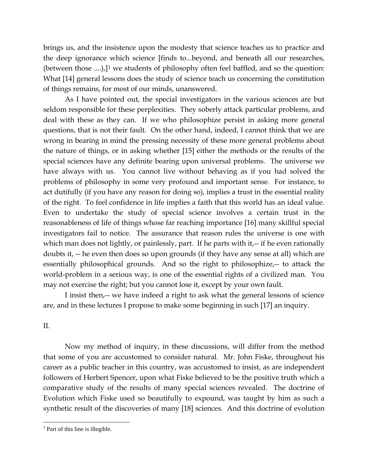brings us, and the insistence upon the modesty that science teaches us to practice and the deep ignorance which science [finds to...beyond, and beneath all our researches, (between those  $...,$ ),]<sup>[1](#page-5-0)</sup> we students of philosophy often feel baffled, and so the question: What [14] general lessons does the study of science teach us concerning the constitution of things remains, for most of our minds, unanswered.

As I have pointed out, the special investigators in the various sciences are but seldom responsible for these perplexities. They soberly attack particular problems, and deal with these as they can. If we who philosophize persist in asking more general questions, that is not their fault. On the other hand, indeed, I cannot think that we are wrong in bearing in mind the pressing necessity of these more general problems about the nature of things, or in asking whether [15] either the methods or the results of the special sciences have any definite bearing upon universal problems. The universe we have always with us. You cannot live without behaving as if you had solved the problems of philosophy in some very profound and important sense. For instance, to act dutifully (if you have any reason for doing so), implies a trust in the essential reality of the right. To feel confidence in life implies a faith that this world has an ideal value. Even to undertake the study of special science involves a certain trust in the reasonableness of life of things whose far reaching importance [16] many skillful special investigators fail to notice. The assurance that reason rules the universe is one with which man does not lightly, or painlessly, part. If he parts with it,-- if he even rationally doubts it, -- he even then does so upon grounds (if they have any sense at all) which are essentially philosophical grounds. And so the right to philosophize,-- to attack the world-problem in a serious way, is one of the essential rights of a civilized man. You may not exercise the right; but you cannot lose it, except by your own fault.

I insist then,-- we have indeed a right to ask what the general lessons of science are, and in these lectures I propose to make some beginning in such [17] an inquiry.

### II.

 $\overline{a}$ 

Now my method of inquiry, in these discussions, will differ from the method that some of you are accustomed to consider natural. Mr. John Fiske, throughout his career as a public teacher in this country, was accustomed to insist, as are independent followers of Herbert Spencer, upon what Fiske believed to be the positive truth which a comparative study of the results of many special sciences revealed. The doctrine of Evolution which Fiske used so beautifully to expound, was taught by him as such a synthetic result of the discoveries of many [18] sciences. And this doctrine of evolution

<span id="page-5-0"></span> $<sup>1</sup>$  Part of this line is illegible.</sup>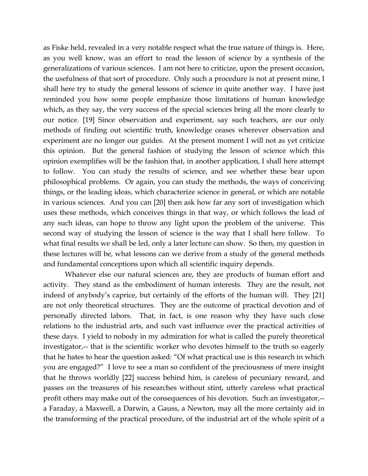as Fiske held, revealed in a very notable respect what the true nature of things is. Here, as you well know, was an effort to read the lesson of science by a synthesis of the generalizations of various sciences. I am not here to criticize, upon the present occasion, the usefulness of that sort of procedure. Only such a procedure is not at present mine, I shall here try to study the general lessons of science in quite another way. I have just reminded you how some people emphasize those limitations of human knowledge which, as they say, the very success of the special sciences bring all the more clearly to our notice. [19] Since observation and experiment, say such teachers, are our only methods of finding out scientific truth, knowledge ceases wherever observation and experiment are no longer our guides. At the present moment I will not as yet criticize this opinion. But the general fashion of studying the lesson of science which this opinion exemplifies will be the fashion that, in another application, I shall here attempt to follow. You can study the results of science, and see whether these bear upon philosophical problems. Or again, you can study the methods, the ways of conceiving things, or the leading ideas, which characterize science in general, or which are notable in various sciences. And you can [20] then ask how far any sort of investigation which uses these methods, which conceives things in that way, or which follows the lead of any such ideas, can hope to throw any light upon the problem of the universe. This second way of studying the lesson of science is the way that I shall here follow. To what final results we shall be led, only a later lecture can show. So then, my question in these lectures will be, what lessons can we derive from a study of the general methods and fundamental conceptions upon which all scientific inquiry depends.

Whatever else our natural sciences are, they are products of human effort and activity. They stand as the embodiment of human interests. They are the result, not indeed of anybody's caprice, but certainly of the efforts of the human will. They [21] are not only theoretical structures. They are the outcome of practical devotion and of personally directed labors. That, in fact, is one reason why they have such close relations to the industrial arts, and such vast influence over the practical activities of these days. I yield to nobody in my admiration for what is called the purely theoretical investigator,-- that is the scientific worker who devotes himself to the truth so eagerly that he hates to hear the question asked: "Of what practical use is this research in which you are engaged?" I love to see a man so confident of the preciousness of mere insight that he throws worldly [22] success behind him, is careless of pecuniary reward, and passes on the treasures of his researches without stint, utterly careless what practical profit others may make out of the consequences of his devotion. Such an investigator,- a Faraday, a Maxwell, a Darwin, a Gauss, a Newton, may all the more certainly aid in the transforming of the practical procedure, of the industrial art of the whole spirit of a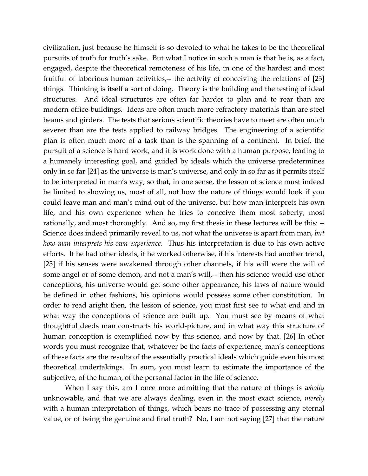civilization, just because he himself is so devoted to what he takes to be the theoretical pursuits of truth for truth's sake. But what I notice in such a man is that he is, as a fact, engaged, despite the theoretical remoteness of his life, in one of the hardest and most fruitful of laborious human activities,-- the activity of conceiving the relations of [23] things. Thinking is itself a sort of doing. Theory is the building and the testing of ideal structures. And ideal structures are often far harder to plan and to rear than are modern office-buildings. Ideas are often much more refractory materials than are steel beams and girders. The tests that serious scientific theories have to meet are often much severer than are the tests applied to railway bridges. The engineering of a scientific plan is often much more of a task than is the spanning of a continent. In brief, the pursuit of a science is hard work, and it is work done with a human purpose, leading to a humanely interesting goal, and guided by ideals which the universe predetermines only in so far [24] as the universe is man's universe, and only in so far as it permits itself to be interpreted in man's way; so that, in one sense, the lesson of science must indeed be limited to showing us, most of all, not how the nature of things would look if you could leave man and man's mind out of the universe, but how man interprets his own life, and his own experience when he tries to conceive them most soberly, most rationally, and most thoroughly. And so, my first thesis in these lectures will be this: --Science does indeed primarily reveal to us, not what the universe is apart from man, *but how man interprets his own experience*. Thus his interpretation is due to his own active efforts. If he had other ideals, if he worked otherwise, if his interests had another trend, [25] if his senses were awakened through other channels, if his will were the will of some angel or of some demon, and not a man's will,-- then his science would use other conceptions, his universe would get some other appearance, his laws of nature would be defined in other fashions, his opinions would possess some other constitution. In order to read aright then, the lesson of science, you must first see to what end and in what way the conceptions of science are built up. You must see by means of what thoughtful deeds man constructs his world-picture, and in what way this structure of human conception is exemplified now by this science, and now by that. [26] In other words you must recognize that, whatever be the facts of experience, man's conceptions of these facts are the results of the essentially practical ideals which guide even his most theoretical undertakings. In sum, you must learn to estimate the importance of the subjective, of the human, of the personal factor in the life of science.

When I say this, am I once more admitting that the nature of things is *wholly* unknowable, and that we are always dealing, even in the most exact science, *merely* with a human interpretation of things, which bears no trace of possessing any eternal value, or of being the genuine and final truth? No, I am not saying [27] that the nature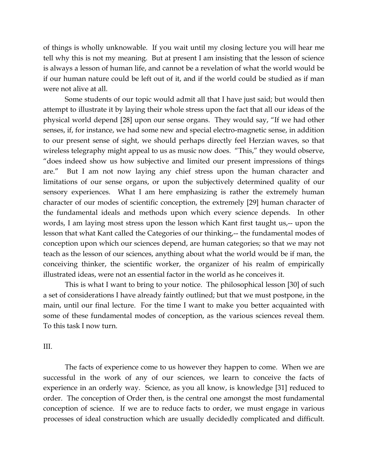of things is wholly unknowable. If you wait until my closing lecture you will hear me tell why this is not my meaning. But at present I am insisting that the lesson of science is always a lesson of human life, and cannot be a revelation of what the world would be if our human nature could be left out of it, and if the world could be studied as if man were not alive at all.

Some students of our topic would admit all that I have just said; but would then attempt to illustrate it by laying their whole stress upon the fact that all our ideas of the physical world depend [28] upon our sense organs. They would say, "If we had other senses, if, for instance, we had some new and special electro-magnetic sense, in addition to our present sense of sight, we should perhaps directly feel Herzian waves, so that wireless telegraphy might appeal to us as music now does. "This," they would observe, "does indeed show us how subjective and limited our present impressions of things are." But I am not now laying any chief stress upon the human character and limitations of our sense organs, or upon the subjectively determined quality of our sensory experiences. What I am here emphasizing is rather the extremely human character of our modes of scientific conception, the extremely [29] human character of the fundamental ideals and methods upon which every science depends. In other words, I am laying most stress upon the lesson which Kant first taught us,-- upon the lesson that what Kant called the Categories of our thinking,-- the fundamental modes of conception upon which our sciences depend, are human categories; so that we may not teach as the lesson of our sciences, anything about what the world would be if man, the conceiving thinker, the scientific worker, the organizer of his realm of empirically illustrated ideas, were not an essential factor in the world as he conceives it.

This is what I want to bring to your notice. The philosophical lesson [30] of such a set of considerations I have already faintly outlined; but that we must postpone, in the main, until our final lecture. For the time I want to make you better acquainted with some of these fundamental modes of conception, as the various sciences reveal them. To this task I now turn.

#### III.

The facts of experience come to us however they happen to come. When we are successful in the work of any of our sciences, we learn to conceive the facts of experience in an orderly way. Science, as you all know, is knowledge [31] reduced to order. The conception of Order then, is the central one amongst the most fundamental conception of science. If we are to reduce facts to order, we must engage in various processes of ideal construction which are usually decidedly complicated and difficult.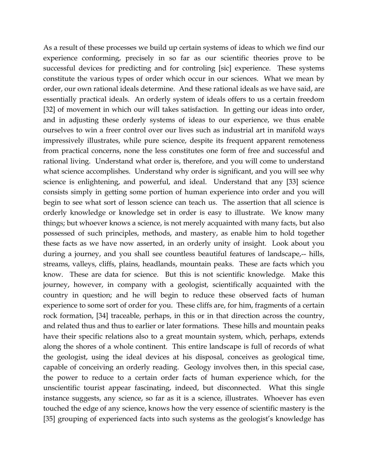As a result of these processes we build up certain systems of ideas to which we find our experience conforming, precisely in so far as our scientific theories prove to be successful devices for predicting and for controling [sic] experience. These systems constitute the various types of order which occur in our sciences. What we mean by order, our own rational ideals determine. And these rational ideals as we have said, are essentially practical ideals. An orderly system of ideals offers to us a certain freedom [32] of movement in which our will takes satisfaction. In getting our ideas into order, and in adjusting these orderly systems of ideas to our experience, we thus enable ourselves to win a freer control over our lives such as industrial art in manifold ways impressively illustrates, while pure science, despite its frequent apparent remoteness from practical concerns, none the less constitutes one form of free and successful and rational living. Understand what order is, therefore, and you will come to understand what science accomplishes. Understand why order is significant, and you will see why science is enlightening, and powerful, and ideal. Understand that any [33] science consists simply in getting some portion of human experience into order and you will begin to see what sort of lesson science can teach us. The assertion that all science is orderly knowledge or knowledge set in order is easy to illustrate. We know many things; but whoever knows a science, is not merely acquainted with many facts, but also possessed of such principles, methods, and mastery, as enable him to hold together these facts as we have now asserted, in an orderly unity of insight. Look about you during a journey, and you shall see countless beautiful features of landscape,-- hills, streams, valleys, cliffs, plains, headlands, mountain peaks. These are facts which you know. These are data for science. But this is not scientific knowledge. Make this journey, however, in company with a geologist, scientifically acquainted with the country in question; and he will begin to reduce these observed facts of human experience to some sort of order for you. These cliffs are, for him, fragments of a certain rock formation, [34] traceable, perhaps, in this or in that direction across the country, and related thus and thus to earlier or later formations. These hills and mountain peaks have their specific relations also to a great mountain system, which, perhaps, extends along the shores of a whole continent. This entire landscape is full of records of what the geologist, using the ideal devices at his disposal, conceives as geological time, capable of conceiving an orderly reading. Geology involves then, in this special case, the power to reduce to a certain order facts of human experience which, for the unscientific tourist appear fascinating, indeed, but disconnected. What this single instance suggests, any science, so far as it is a science, illustrates. Whoever has even touched the edge of any science, knows how the very essence of scientific mastery is the [35] grouping of experienced facts into such systems as the geologist's knowledge has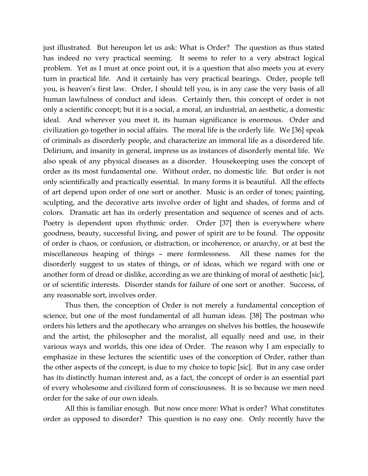just illustrated. But hereupon let us ask: What is Order? The question as thus stated has indeed no very practical seeming. It seems to refer to a very abstract logical problem. Yet as I must at once point out, it is a question that also meets you at every turn in practical life. And it certainly has very practical bearings. Order, people tell you, is heaven's first law. Order, I should tell you, is in any case the very basis of all human lawfulness of conduct and ideas. Certainly then, this concept of order is not only a scientific concept; but it is a social, a moral, an industrial, an aesthetic, a domestic ideal. And wherever you meet it, its human significance is enormous. Order and civilization go together in social affairs. The moral life is the orderly life. We [36] speak of criminals as disorderly people, and characterize an immoral life as a disordered life. Delirium, and insanity in general, impress us as instances of disorderly mental life. We also speak of any physical diseases as a disorder. Housekeeping uses the concept of order as its most fundamental one. Without order, no domestic life. But order is not only scientifically and practically essential. In many forms it is beautiful. All the effects of art depend upon order of one sort or another. Music is an order of tones; painting, sculpting, and the decorative arts involve order of light and shades, of forms and of colors. Dramatic art has its orderly presentation and sequence of scenes and of acts. Poetry is dependent upon rhythmic order. Order [37] then is everywhere where goodness, beauty, successful living, and power of spirit are to be found. The opposite of order is chaos, or confusion, or distraction, or incoherence, or anarchy, or at best the miscellaneous heaping of things – mere formlessness. All these names for the disorderly suggest to us states of things, or of ideas, which we regard with one or another form of dread or dislike, according as we are thinking of moral of aesthetic [sic], or of scientific interests. Disorder stands for failure of one sort or another. Success, of any reasonable sort, involves order.

Thus then, the conception of Order is not merely a fundamental conception of science, but one of the most fundamental of all human ideas. [38] The postman who orders his letters and the apothecary who arranges on shelves his bottles, the housewife and the artist, the philosopher and the moralist, all equally need and use, in their various ways and worlds, this one idea of Order. The reason why I am especially to emphasize in these lectures the scientific uses of the conception of Order, rather than the other aspects of the concept, is due to my choice to topic [sic]. But in any case order has its distinctly human interest and, as a fact, the concept of order is an essential part of every wholesome and civilized form of consciousness. It is so because we men need order for the sake of our own ideals.

All this is familiar enough. But now once more: What is order? What constitutes order as opposed to disorder? This question is no easy one. Only recently have the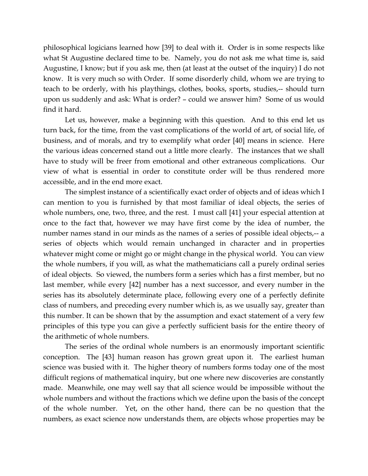philosophical logicians learned how [39] to deal with it. Order is in some respects like what St Augustine declared time to be. Namely, you do not ask me what time is, said Augustine, I know; but if you ask me, then (at least at the outset of the inquiry) I do not know. It is very much so with Order. If some disorderly child, whom we are trying to teach to be orderly, with his playthings, clothes, books, sports, studies,-- should turn upon us suddenly and ask: What is order? – could we answer him? Some of us would find it hard.

Let us, however, make a beginning with this question. And to this end let us turn back, for the time, from the vast complications of the world of art, of social life, of business, and of morals, and try to exemplify what order [40] means in science. Here the various ideas concerned stand out a little more clearly. The instances that we shall have to study will be freer from emotional and other extraneous complications. Our view of what is essential in order to constitute order will be thus rendered more accessible, and in the end more exact.

The simplest instance of a scientifically exact order of objects and of ideas which I can mention to you is furnished by that most familiar of ideal objects, the series of whole numbers, one, two, three, and the rest. I must call [41] your especial attention at once to the fact that, however we may have first come by the idea of number, the number names stand in our minds as the names of a series of possible ideal objects,-- a series of objects which would remain unchanged in character and in properties whatever might come or might go or might change in the physical world. You can view the whole numbers, if you will, as what the mathematicians call a purely ordinal series of ideal objects. So viewed, the numbers form a series which has a first member, but no last member, while every [42] number has a next successor, and every number in the series has its absolutely determinate place, following every one of a perfectly definite class of numbers, and preceding every number which is, as we usually say, greater than this number. It can be shown that by the assumption and exact statement of a very few principles of this type you can give a perfectly sufficient basis for the entire theory of the arithmetic of whole numbers.

The series of the ordinal whole numbers is an enormously important scientific conception. The [43] human reason has grown great upon it. The earliest human science was busied with it. The higher theory of numbers forms today one of the most difficult regions of mathematical inquiry, but one where new discoveries are constantly made. Meanwhile, one may well say that all science would be impossible without the whole numbers and without the fractions which we define upon the basis of the concept of the whole number. Yet, on the other hand, there can be no question that the numbers, as exact science now understands them, are objects whose properties may be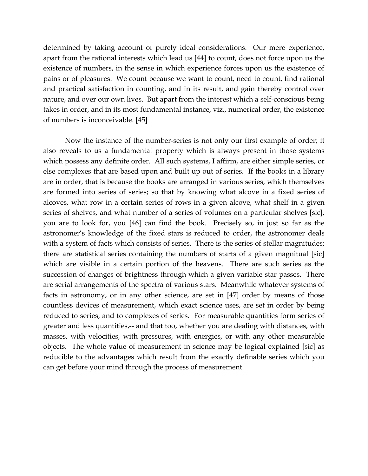determined by taking account of purely ideal considerations. Our mere experience, apart from the rational interests which lead us [44] to count, does not force upon us the existence of numbers, in the sense in which experience forces upon us the existence of pains or of pleasures. We count because we want to count, need to count, find rational and practical satisfaction in counting, and in its result, and gain thereby control over nature, and over our own lives. But apart from the interest which a self-conscious being takes in order, and in its most fundamental instance, viz., numerical order, the existence of numbers is inconceivable. [45]

Now the instance of the number-series is not only our first example of order; it also reveals to us a fundamental property which is always present in those systems which possess any definite order. All such systems, I affirm, are either simple series, or else complexes that are based upon and built up out of series. If the books in a library are in order, that is because the books are arranged in various series, which themselves are formed into series of series; so that by knowing what alcove in a fixed series of alcoves, what row in a certain series of rows in a given alcove, what shelf in a given series of shelves, and what number of a series of volumes on a particular shelves [sic], you are to look for, you [46] can find the book. Precisely so, in just so far as the astronomer's knowledge of the fixed stars is reduced to order, the astronomer deals with a system of facts which consists of series. There is the series of stellar magnitudes; there are statistical series containing the numbers of starts of a given magnitual [sic] which are visible in a certain portion of the heavens. There are such series as the succession of changes of brightness through which a given variable star passes. There are serial arrangements of the spectra of various stars. Meanwhile whatever systems of facts in astronomy, or in any other science, are set in [47] order by means of those countless devices of measurement, which exact science uses, are set in order by being reduced to series, and to complexes of series. For measurable quantities form series of greater and less quantities,-- and that too, whether you are dealing with distances, with masses, with velocities, with pressures, with energies, or with any other measurable objects. The whole value of measurement in science may be logical explained [sic] as reducible to the advantages which result from the exactly definable series which you can get before your mind through the process of measurement.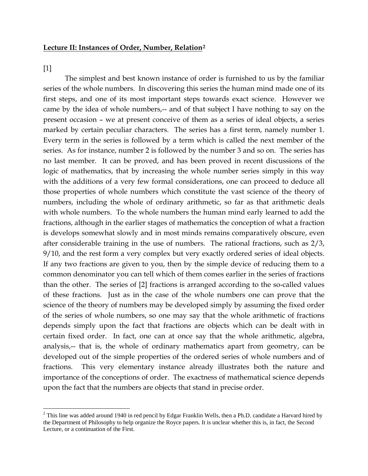#### **Lecture II: Instances of Order, Number, Relation[2](#page-13-0)**

[1]

 $\overline{a}$ 

The simplest and best known instance of order is furnished to us by the familiar series of the whole numbers. In discovering this series the human mind made one of its first steps, and one of its most important steps towards exact science. However we came by the idea of whole numbers,-- and of that subject I have nothing to say on the present occasion – we at present conceive of them as a series of ideal objects, a series marked by certain peculiar characters. The series has a first term, namely number 1. Every term in the series is followed by a term which is called the next member of the series. As for instance, number 2 is followed by the number 3 and so on. The series has no last member. It can be proved, and has been proved in recent discussions of the logic of mathematics, that by increasing the whole number series simply in this way with the additions of a very few formal considerations, one can proceed to deduce all those properties of whole numbers which constitute the vast science of the theory of numbers, including the whole of ordinary arithmetic, so far as that arithmetic deals with whole numbers. To the whole numbers the human mind early learned to add the fractions, although in the earlier stages of mathematics the conception of what a fraction is develops somewhat slowly and in most minds remains comparatively obscure, even after considerable training in the use of numbers. The rational fractions, such as 2/3, 9/10, and the rest form a very complex but very exactly ordered series of ideal objects. If any two fractions are given to you, then by the simple device of reducing them to a common denominator you can tell which of them comes earlier in the series of fractions than the other. The series of [2] fractions is arranged according to the so-called values of these fractions. Just as in the case of the whole numbers one can prove that the science of the theory of numbers may be developed simply by assuming the fixed order of the series of whole numbers, so one may say that the whole arithmetic of fractions depends simply upon the fact that fractions are objects which can be dealt with in certain fixed order. In fact, one can at once say that the whole arithmetic, algebra, analysis,-- that is, the whole of ordinary mathematics apart from geometry, can be developed out of the simple properties of the ordered series of whole numbers and of fractions. This very elementary instance already illustrates both the nature and importance of the conceptions of order. The exactness of mathematical science depends upon the fact that the numbers are objects that stand in precise order.

<span id="page-13-0"></span> $2$  This line was added around 1940 in red pencil by Edgar Franklin Wells, then a Ph.D. candidate a Harvard hired by the Department of Philosophy to help organize the Royce papers. It is unclear whether this is, in fact, the Second Lecture, or a continuation of the First.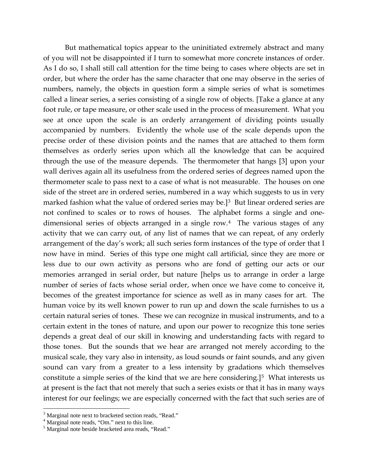But mathematical topics appear to the uninitiated extremely abstract and many of you will not be disappointed if I turn to somewhat more concrete instances of order. As I do so, I shall still call attention for the time being to cases where objects are set in order, but where the order has the same character that one may observe in the series of numbers, namely, the objects in question form a simple series of what is sometimes called a linear series, a series consisting of a single row of objects. [Take a glance at any foot rule, or tape measure, or other scale used in the process of measurement. What you see at once upon the scale is an orderly arrangement of dividing points usually accompanied by numbers. Evidently the whole use of the scale depends upon the precise order of these division points and the names that are attached to them form themselves as orderly series upon which all the knowledge that can be acquired through the use of the measure depends. The thermometer that hangs [3] upon your wall derives again all its usefulness from the ordered series of degrees named upon the thermometer scale to pass next to a case of what is not measurable. The houses on one side of the street are in ordered series, numbered in a way which suggests to us in very marked fashion what the value of ordered series may be.]<sup>3</sup> But linear ordered series are not confined to scales or to rows of houses. The alphabet forms a single and onedimensional series of objects arranged in a single row.[4](#page-14-1) The various stages of any activity that we can carry out, of any list of names that we can repeat, of any orderly arrangement of the day's work; all such series form instances of the type of order that I now have in mind. Series of this type one might call artificial, since they are more or less due to our own activity as persons who are fond of getting our acts or our memories arranged in serial order, but nature [helps us to arrange in order a large number of series of facts whose serial order, when once we have come to conceive it, becomes of the greatest importance for science as well as in many cases for art. The human voice by its well known power to run up and down the scale furnishes to us a certain natural series of tones. These we can recognize in musical instruments, and to a certain extent in the tones of nature, and upon our power to recognize this tone series depends a great deal of our skill in knowing and understanding facts with regard to those tones. But the sounds that we hear are arranged not merely according to the musical scale, they vary also in intensity, as loud sounds or faint sounds, and any given sound can vary from a greater to a less intensity by gradations which themselves constitute a simple series of the kind that we are here considering.<sup>[[5](#page-14-2)]</sup> What interests us at present is the fact that not merely that such a series exists or that it has in many ways interest for our feelings; we are especially concerned with the fact that such series are of

<span id="page-14-0"></span><sup>&</sup>lt;sup>3</sup> Marginal note next to bracketed section reads, "Read."  $4^4$  Marginal note reads, "Om." next to this line.  $5^5$  Marginal note beside bracketed area reads, "Read."

<span id="page-14-1"></span>

<span id="page-14-2"></span>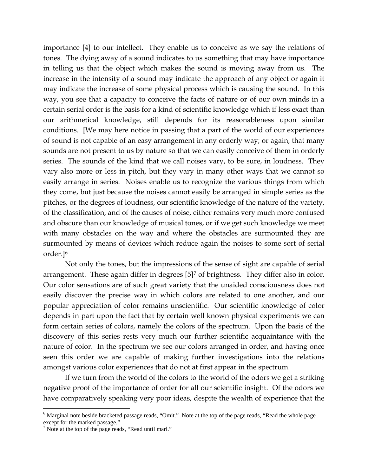importance [4] to our intellect. They enable us to conceive as we say the relations of tones. The dying away of a sound indicates to us something that may have importance in telling us that the object which makes the sound is moving away from us. The increase in the intensity of a sound may indicate the approach of any object or again it may indicate the increase of some physical process which is causing the sound. In this way, you see that a capacity to conceive the facts of nature or of our own minds in a certain serial order is the basis for a kind of scientific knowledge which if less exact than our arithmetical knowledge, still depends for its reasonableness upon similar conditions. [We may here notice in passing that a part of the world of our experiences of sound is not capable of an easy arrangement in any orderly way; or again, that many sounds are not present to us by nature so that we can easily conceive of them in orderly series. The sounds of the kind that we call noises vary, to be sure, in loudness. They vary also more or less in pitch, but they vary in many other ways that we cannot so easily arrange in series. Noises enable us to recognize the various things from which they come, but just because the noises cannot easily be arranged in simple series as the pitches, or the degrees of loudness, our scientific knowledge of the nature of the variety, of the classification, and of the causes of noise, either remains very much more confused and obscure than our knowledge of musical tones, or if we get such knowledge we meet with many obstacles on the way and where the obstacles are surmounted they are surmounted by means of devices which reduce again the noises to some sort of serial order.][6](#page-15-0)

Not only the tones, but the impressions of the sense of sight are capable of serial arrangement. These again differ in degrees [5]<sup>[7](#page-15-1)</sup> of brightness. They differ also in color. Our color sensations are of such great variety that the unaided consciousness does not easily discover the precise way in which colors are related to one another, and our popular appreciation of color remains unscientific. Our scientific knowledge of color depends in part upon the fact that by certain well known physical experiments we can form certain series of colors, namely the colors of the spectrum. Upon the basis of the discovery of this series rests very much our further scientific acquaintance with the nature of color. In the spectrum we see our colors arranged in order, and having once seen this order we are capable of making further investigations into the relations amongst various color experiences that do not at first appear in the spectrum.

If we turn from the world of the colors to the world of the odors we get a striking negative proof of the importance of order for all our scientific insight. Of the odors we have comparatively speaking very poor ideas, despite the wealth of experience that the

<span id="page-15-0"></span><sup>6</sup> Marginal note beside bracketed passage reads, "Omit." Note at the top of the page reads, "Read the whole page except for the marked passage."

<span id="page-15-1"></span> $7$  Note at the top of the page reads, "Read until marl."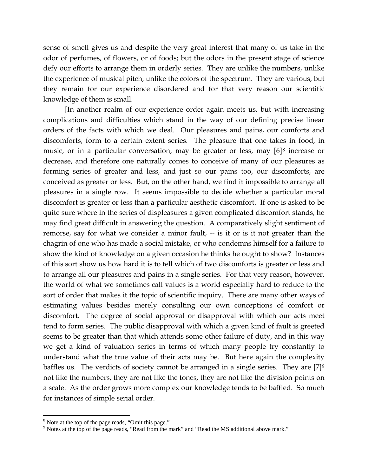sense of smell gives us and despite the very great interest that many of us take in the odor of perfumes, of flowers, or of foods; but the odors in the present stage of science defy our efforts to arrange them in orderly series. They are unlike the numbers, unlike the experience of musical pitch, unlike the colors of the spectrum. They are various, but they remain for our experience disordered and for that very reason our scientific knowledge of them is small.

[In another realm of our experience order again meets us, but with increasing complications and difficulties which stand in the way of our defining precise linear orders of the facts with which we deal. Our pleasures and pains, our comforts and discomforts, form to a certain extent series. The pleasure that one takes in food, in music, or in a particular conversation, may be greater or less, may [6][8](#page-16-0) increase or decrease, and therefore one naturally comes to conceive of many of our pleasures as forming series of greater and less, and just so our pains too, our discomforts, are conceived as greater or less. But, on the other hand, we find it impossible to arrange all pleasures in a single row. It seems impossible to decide whether a particular moral discomfort is greater or less than a particular aesthetic discomfort. If one is asked to be quite sure where in the series of displeasures a given complicated discomfort stands, he may find great difficult in answering the question. A comparatively slight sentiment of remorse, say for what we consider a minor fault, -- is it or is it not greater than the chagrin of one who has made a social mistake, or who condemns himself for a failure to show the kind of knowledge on a given occasion he thinks he ought to show? Instances of this sort show us how hard it is to tell which of two discomforts is greater or less and to arrange all our pleasures and pains in a single series. For that very reason, however, the world of what we sometimes call values is a world especially hard to reduce to the sort of order that makes it the topic of scientific inquiry. There are many other ways of estimating values besides merely consulting our own conceptions of comfort or discomfort. The degree of social approval or disapproval with which our acts meet tend to form series. The public disapproval with which a given kind of fault is greeted seems to be greater than that which attends some other failure of duty, and in this way we get a kind of valuation series in terms of which many people try constantly to understand what the true value of their acts may be. But here again the complexity baffles us. The verdicts of society cannot be arranged in a single series. They are  $[7]^9$  $[7]^9$ not like the numbers, they are not like the tones, they are not like the division points on a scale. As the order grows more complex our knowledge tends to be baffled. So much for instances of simple serial order.

<span id="page-16-1"></span><span id="page-16-0"></span><sup>&</sup>lt;sup>8</sup> Note at the top of the page reads, "Omit this page." <br><sup>9</sup> Notes at the top of the page reads, "Read from the mark" and "Read the MS additional above mark."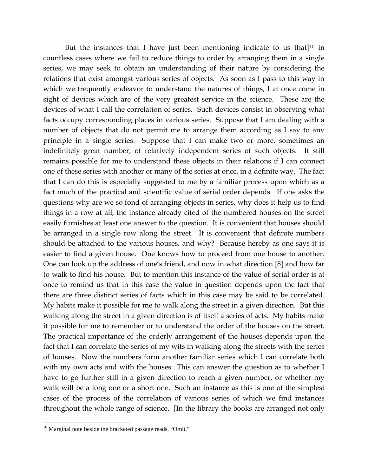But the instances that I have just been mentioning indicate to us that $]^{10}$  $]^{10}$  $]^{10}$  in countless cases where we fail to reduce things to order by arranging them in a single series, we may seek to obtain an understanding of their nature by considering the relations that exist amongst various series of objects. As soon as I pass to this way in which we frequently endeavor to understand the natures of things, I at once come in sight of devices which are of the very greatest service in the science. These are the devices of what I call the correlation of series. Such devices consist in observing what facts occupy corresponding places in various series. Suppose that I am dealing with a number of objects that do not permit me to arrange them according as I say to any principle in a single series. Suppose that I can make two or more, sometimes an indefinitely great number, of relatively independent series of such objects. It still remains possible for me to understand these objects in their relations if I can connect one of these series with another or many of the series at once, in a definite way. The fact that I can do this is especially suggested to me by a familiar process upon which as a fact much of the practical and scientific value of serial order depends. If one asks the questions why are we so fond of arranging objects in series, why does it help us to find things in a row at all, the instance already cited of the numbered houses on the street easily furnishes at least one answer to the question. It is convenient that houses should be arranged in a single row along the street. It is convenient that definite numbers should be attached to the various houses, and why? Because hereby as one says it is easier to find a given house. One knows how to proceed from one house to another. One can look up the address of one's friend, and now in what direction [8] and how far to walk to find his house. But to mention this instance of the value of serial order is at once to remind us that in this case the value in question depends upon the fact that there are three distinct series of facts which in this case may be said to be correlated. My habits make it possible for me to walk along the street in a given direction. But this walking along the street in a given direction is of itself a series of acts. My habits make it possible for me to remember or to understand the order of the houses on the street. The practical importance of the orderly arrangement of the houses depends upon the fact that I can correlate the series of my wits in walking along the streets with the series of houses. Now the numbers form another familiar series which I can correlate both with my own acts and with the houses. This can answer the question as to whether I have to go further still in a given direction to reach a given number, or whether my walk will be a long one or a short one. Such an instance as this is one of the simplest cases of the process of the correlation of various series of which we find instances throughout the whole range of science. [In the library the books are arranged not only

<span id="page-17-0"></span><sup>&</sup>lt;sup>10</sup> Marginal note beside the bracketed passage reads, "Omit."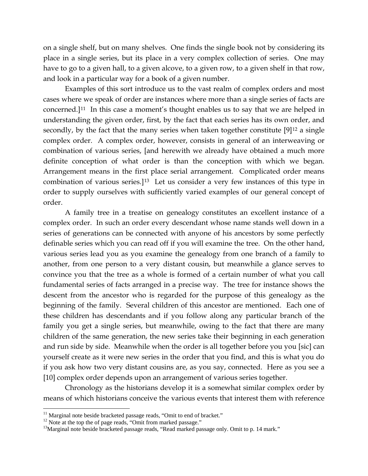on a single shelf, but on many shelves. One finds the single book not by considering its place in a single series, but its place in a very complex collection of series. One may have to go to a given hall, to a given alcove, to a given row, to a given shelf in that row, and look in a particular way for a book of a given number.

Examples of this sort introduce us to the vast realm of complex orders and most cases where we speak of order are instances where more than a single series of facts are concerned.][11](#page-18-0) In this case a moment's thought enables us to say that we are helped in understanding the given order, first, by the fact that each series has its own order, and secondly, by the fact that the many series when taken together constitute  $[9]^{12}$  $[9]^{12}$  $[9]^{12}$  a single complex order. A complex order, however, consists in general of an interweaving or combination of various series, [and herewith we already have obtained a much more definite conception of what order is than the conception with which we began. Arrangement means in the first place serial arrangement. Complicated order means combination of various series.][13](#page-18-2) Let us consider a very few instances of this type in order to supply ourselves with sufficiently varied examples of our general concept of order.

A family tree in a treatise on genealogy constitutes an excellent instance of a complex order. In such an order every descendant whose name stands well down in a series of generations can be connected with anyone of his ancestors by some perfectly definable series which you can read off if you will examine the tree. On the other hand, various series lead you as you examine the genealogy from one branch of a family to another, from one person to a very distant cousin, but meanwhile a glance serves to convince you that the tree as a whole is formed of a certain number of what you call fundamental series of facts arranged in a precise way. The tree for instance shows the descent from the ancestor who is regarded for the purpose of this genealogy as the beginning of the family. Several children of this ancestor are mentioned. Each one of these children has descendants and if you follow along any particular branch of the family you get a single series, but meanwhile, owing to the fact that there are many children of the same generation, the new series take their beginning in each generation and run side by side. Meanwhile when the order is all together before you you [sic] can yourself create as it were new series in the order that you find, and this is what you do if you ask how two very distant cousins are, as you say, connected. Here as you see a [10] complex order depends upon an arrangement of various series together.

Chronology as the historians develop it is a somewhat similar complex order by means of which historians conceive the various events that interest them with reference

<span id="page-18-2"></span><span id="page-18-1"></span>

<span id="page-18-0"></span><sup>&</sup>lt;sup>11</sup> Marginal note beside bracketed passage reads, "Omit to end of bracket."<br><sup>12</sup> Note at the top the of page reads, "Omit from marked passage."<br><sup>13</sup>Marginal note beside bracketed passage reads, "Read marked passage only.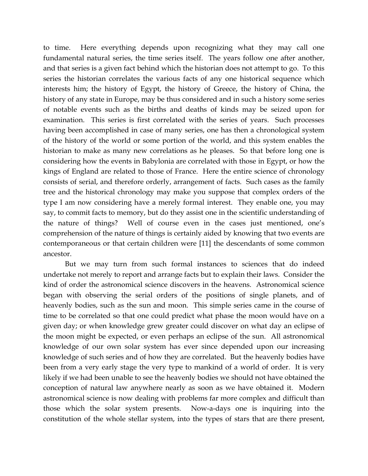to time. Here everything depends upon recognizing what they may call one fundamental natural series, the time series itself. The years follow one after another, and that series is a given fact behind which the historian does not attempt to go. To this series the historian correlates the various facts of any one historical sequence which interests him; the history of Egypt, the history of Greece, the history of China, the history of any state in Europe, may be thus considered and in such a history some series of notable events such as the births and deaths of kinds may be seized upon for examination. This series is first correlated with the series of years. Such processes having been accomplished in case of many series, one has then a chronological system of the history of the world or some portion of the world, and this system enables the historian to make as many new correlations as he pleases. So that before long one is considering how the events in Babylonia are correlated with those in Egypt, or how the kings of England are related to those of France. Here the entire science of chronology consists of serial, and therefore orderly, arrangement of facts. Such cases as the family tree and the historical chronology may make you suppose that complex orders of the type I am now considering have a merely formal interest. They enable one, you may say, to commit facts to memory, but do they assist one in the scientific understanding of the nature of things? Well of course even in the cases just mentioned, one's comprehension of the nature of things is certainly aided by knowing that two events are contemporaneous or that certain children were [11] the descendants of some common ancestor.

But we may turn from such formal instances to sciences that do indeed undertake not merely to report and arrange facts but to explain their laws. Consider the kind of order the astronomical science discovers in the heavens. Astronomical science began with observing the serial orders of the positions of single planets, and of heavenly bodies, such as the sun and moon. This simple series came in the course of time to be correlated so that one could predict what phase the moon would have on a given day; or when knowledge grew greater could discover on what day an eclipse of the moon might be expected, or even perhaps an eclipse of the sun. All astronomical knowledge of our own solar system has ever since depended upon our increasing knowledge of such series and of how they are correlated. But the heavenly bodies have been from a very early stage the very type to mankind of a world of order. It is very likely if we had been unable to see the heavenly bodies we should not have obtained the conception of natural law anywhere nearly as soon as we have obtained it. Modern astronomical science is now dealing with problems far more complex and difficult than those which the solar system presents. Now-a-days one is inquiring into the constitution of the whole stellar system, into the types of stars that are there present,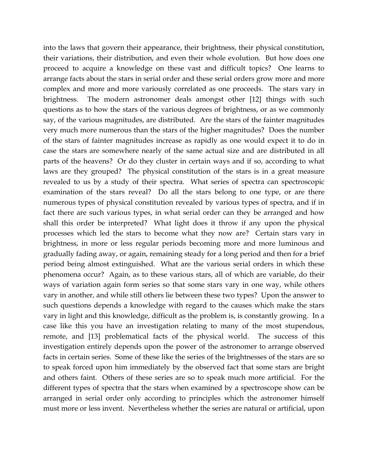into the laws that govern their appearance, their brightness, their physical constitution, their variations, their distribution, and even their whole evolution. But how does one proceed to acquire a knowledge on these vast and difficult topics? One learns to arrange facts about the stars in serial order and these serial orders grow more and more complex and more and more variously correlated as one proceeds. The stars vary in brightness. The modern astronomer deals amongst other [12] things with such questions as to how the stars of the various degrees of brightness, or as we commonly say, of the various magnitudes, are distributed. Are the stars of the fainter magnitudes very much more numerous than the stars of the higher magnitudes? Does the number of the stars of fainter magnitudes increase as rapidly as one would expect it to do in case the stars are somewhere nearly of the same actual size and are distributed in all parts of the heavens? Or do they cluster in certain ways and if so, according to what laws are they grouped? The physical constitution of the stars is in a great measure revealed to us by a study of their spectra. What series of spectra can spectroscopic examination of the stars reveal? Do all the stars belong to one type, or are there numerous types of physical constitution revealed by various types of spectra, and if in fact there are such various types, in what serial order can they be arranged and how shall this order be interpreted? What light does it throw if any upon the physical processes which led the stars to become what they now are? Certain stars vary in brightness, in more or less regular periods becoming more and more luminous and gradually fading away, or again, remaining steady for a long period and then for a brief period being almost extinguished. What are the various serial orders in which these phenomena occur? Again, as to these various stars, all of which are variable, do their ways of variation again form series so that some stars vary in one way, while others vary in another, and while still others lie between these two types? Upon the answer to such questions depends a knowledge with regard to the causes which make the stars vary in light and this knowledge, difficult as the problem is, is constantly growing. In a case like this you have an investigation relating to many of the most stupendous, remote, and [13] problematical facts of the physical world. The success of this investigation entirely depends upon the power of the astronomer to arrange observed facts in certain series. Some of these like the series of the brightnesses of the stars are so to speak forced upon him immediately by the observed fact that some stars are bright and others faint. Others of these series are so to speak much more artificial. For the different types of spectra that the stars when examined by a spectroscope show can be arranged in serial order only according to principles which the astronomer himself must more or less invent. Nevertheless whether the series are natural or artificial, upon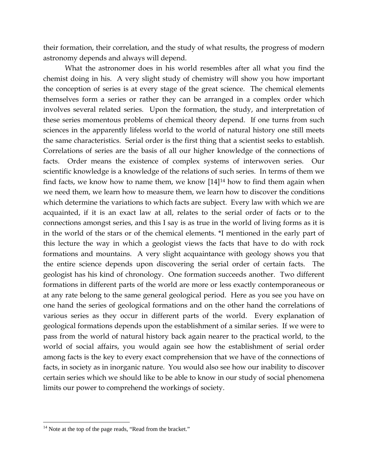their formation, their correlation, and the study of what results, the progress of modern astronomy depends and always will depend.

What the astronomer does in his world resembles after all what you find the chemist doing in his. A very slight study of chemistry will show you how important the conception of series is at every stage of the great science. The chemical elements themselves form a series or rather they can be arranged in a complex order which involves several related series. Upon the formation, the study, and interpretation of these series momentous problems of chemical theory depend. If one turns from such sciences in the apparently lifeless world to the world of natural history one still meets the same characteristics. Serial order is the first thing that a scientist seeks to establish. Correlations of series are the basis of all our higher knowledge of the connections of facts. Order means the existence of complex systems of interwoven series. Our scientific knowledge is a knowledge of the relations of such series. In terms of them we find facts, we know how to name them, we know  $[14]^{14}$  how to find them again when we need them, we learn how to measure them, we learn how to discover the conditions which determine the variations to which facts are subject. Every law with which we are acquainted, if it is an exact law at all, relates to the serial order of facts or to the connections amongst series, and this I say is as true in the world of living forms as it is in the world of the stars or of the chemical elements. \*I mentioned in the early part of this lecture the way in which a geologist views the facts that have to do with rock formations and mountains. A very slight acquaintance with geology shows you that the entire science depends upon discovering the serial order of certain facts. The geologist has his kind of chronology. One formation succeeds another. Two different formations in different parts of the world are more or less exactly contemporaneous or at any rate belong to the same general geological period. Here as you see you have on one hand the series of geological formations and on the other hand the correlations of various series as they occur in different parts of the world. Every explanation of geological formations depends upon the establishment of a similar series. If we were to pass from the world of natural history back again nearer to the practical world, to the world of social affairs, you would again see how the establishment of serial order among facts is the key to every exact comprehension that we have of the connections of facts, in society as in inorganic nature. You would also see how our inability to discover certain series which we should like to be able to know in our study of social phenomena limits our power to comprehend the workings of society.

<span id="page-21-0"></span><sup>&</sup>lt;sup>14</sup> Note at the top of the page reads, "Read from the bracket."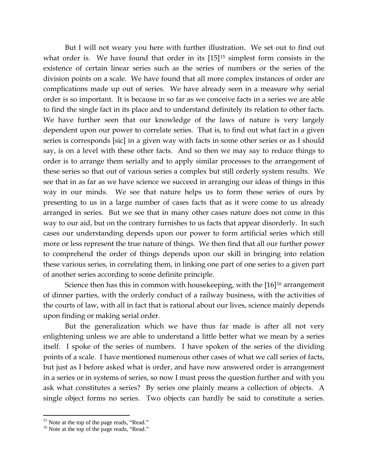But I will not weary you here with further illustration. We set out to find out what order is. We have found that order in its [[15](#page-22-0)]<sup>15</sup> simplest form consists in the existence of certain linear series such as the series of numbers or the series of the division points on a scale. We have found that all more complex instances of order are complications made up out of series. We have already seen in a measure why serial order is so important. It is because in so far as we conceive facts in a series we are able to find the single fact in its place and to understand definitely its relation to other facts. We have further seen that our knowledge of the laws of nature is very largely dependent upon our power to correlate series. That is, to find out what fact in a given series is corresponds [sic] in a given way with facts in some other series or as I should say, is on a level with these other facts. And so then we may say to reduce things to order is to arrange them serially and to apply similar processes to the arrangement of these series so that out of various series a complex but still orderly system results. We see that in as far as we have science we succeed in arranging our ideas of things in this way in our minds. We see that nature helps us to form these series of ours by presenting to us in a large number of cases facts that as it were come to us already arranged in series. But we see that in many other cases nature does not come in this way to our aid, but on the contrary furnishes to us facts that appear disorderly. In such cases our understanding depends upon our power to form artificial series which still more or less represent the true nature of things. We then find that all our further power to comprehend the order of things depends upon our skill in bringing into relation these various series, in correlating them, in linking one part of one series to a given part of another series according to some definite principle.

Science then has this in common with housekeeping, with the [[16](#page-22-1)]<sup>16</sup> arrangement of dinner parties, with the orderly conduct of a railway business, with the activities of the courts of law, with all in fact that is rational about our lives, science mainly depends upon finding or making serial order.

But the generalization which we have thus far made is after all not very enlightening unless we are able to understand a little better what we mean by a series itself. I spoke of the series of numbers. I have spoken of the series of the dividing points of a scale. I have mentioned numerous other cases of what we call series of facts, but just as I before asked what is order, and have now answered order is arrangement in a series or in systems of series, so now I must press the question further and with you ask what constitutes a series? By series one plainly means a collection of objects. A single object forms no series. Two objects can hardly be said to constitute a series.

<span id="page-22-1"></span><span id="page-22-0"></span><sup>&</sup>lt;sup>15</sup> Note at the top of the page reads, "Read."  $^{16}$  Note at the top of the page reads, "Read."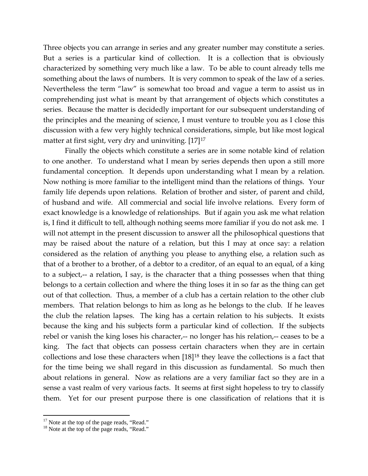Three objects you can arrange in series and any greater number may constitute a series. But a series is a particular kind of collection. It is a collection that is obviously characterized by something very much like a law. To be able to count already tells me something about the laws of numbers. It is very common to speak of the law of a series. Nevertheless the term "law" is somewhat too broad and vague a term to assist us in comprehending just what is meant by that arrangement of objects which constitutes a series. Because the matter is decidedly important for our subsequent understanding of the principles and the meaning of science, I must venture to trouble you as I close this discussion with a few very highly technical considerations, simple, but like most logical matter at first sight, very dry and uninviting. [[17](#page-23-0)]<sup>17</sup>

Finally the objects which constitute a series are in some notable kind of relation to one another. To understand what I mean by series depends then upon a still more fundamental conception. It depends upon understanding what I mean by a relation. Now nothing is more familiar to the intelligent mind than the relations of things. Your family life depends upon relations. Relation of brother and sister, of parent and child, of husband and wife. All commercial and social life involve relations. Every form of exact knowledge is a knowledge of relationships. But if again you ask me what relation is, I find it difficult to tell, although nothing seems more familiar if you do not ask me. I will not attempt in the present discussion to answer all the philosophical questions that may be raised about the nature of a relation, but this I may at once say: a relation considered as the relation of anything you please to anything else, a relation such as that of a brother to a brother, of a debtor to a creditor, of an equal to an equal, of a king to a subject,-- a relation, I say, is the character that a thing possesses when that thing belongs to a certain collection and where the thing loses it in so far as the thing can get out of that collection. Thus, a member of a club has a certain relation to the other club members. That relation belongs to him as long as he belongs to the club. If he leaves the club the relation lapses. The king has a certain relation to his subjects. It exists because the king and his subjects form a particular kind of collection. If the subjects rebel or vanish the king loses his character,-- no longer has his relation,-- ceases to be a king. The fact that objects can possess certain characters when they are in certain collections and lose these characters when [18][18](#page-23-1) they leave the collections is a fact that for the time being we shall regard in this discussion as fundamental. So much then about relations in general. Now as relations are a very familiar fact so they are in a sense a vast realm of very various facts. It seems at first sight hopeless to try to classify them. Yet for our present purpose there is one classification of relations that it is

<span id="page-23-1"></span>

<span id="page-23-0"></span><sup>&</sup>lt;sup>17</sup> Note at the top of the page reads, "Read."  $18$  Note at the top of the page reads, "Read."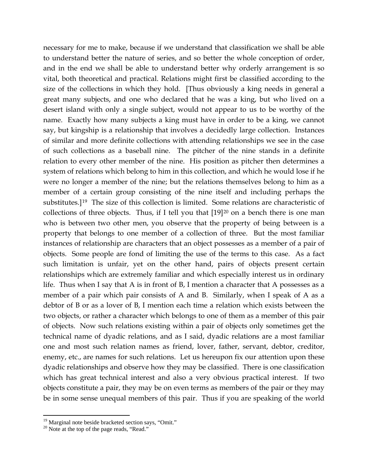necessary for me to make, because if we understand that classification we shall be able to understand better the nature of series, and so better the whole conception of order, and in the end we shall be able to understand better why orderly arrangement is so vital, both theoretical and practical. Relations might first be classified according to the size of the collections in which they hold. [Thus obviously a king needs in general a great many subjects, and one who declared that he was a king, but who lived on a desert island with only a single subject, would not appear to us to be worthy of the name. Exactly how many subjects a king must have in order to be a king, we cannot say, but kingship is a relationship that involves a decidedly large collection. Instances of similar and more definite collections with attending relationships we see in the case of such collections as a baseball nine. The pitcher of the nine stands in a definite relation to every other member of the nine. His position as pitcher then determines a system of relations which belong to him in this collection, and which he would lose if he were no longer a member of the nine; but the relations themselves belong to him as a member of a certain group consisting of the nine itself and including perhaps the substitutes.][19](#page-24-0) The size of this collection is limited. Some relations are characteristic of collections of three objects. Thus, if I tell you that  $[19]^{20}$  $[19]^{20}$  $[19]^{20}$  on a bench there is one man who is between two other men, you observe that the property of being between is a property that belongs to one member of a collection of three. But the most familiar instances of relationship are characters that an object possesses as a member of a pair of objects. Some people are fond of limiting the use of the terms to this case. As a fact such limitation is unfair, yet on the other hand, pairs of objects present certain relationships which are extremely familiar and which especially interest us in ordinary life. Thus when I say that A is in front of B, I mention a character that A possesses as a member of a pair which pair consists of A and B. Similarly, when I speak of A as a debtor of B or as a lover of B, I mention each time a relation which exists between the two objects, or rather a character which belongs to one of them as a member of this pair of objects. Now such relations existing within a pair of objects only sometimes get the technical name of dyadic relations, and as I said, dyadic relations are a most familiar one and most such relation names as friend, lover, father, servant, debtor, creditor, enemy, etc., are names for such relations. Let us hereupon fix our attention upon these dyadic relationships and observe how they may be classified. There is one classification which has great technical interest and also a very obvious practical interest. If two objects constitute a pair, they may be on even terms as members of the pair or they may be in some sense unequal members of this pair. Thus if you are speaking of the world

<span id="page-24-1"></span><span id="page-24-0"></span><sup>&</sup>lt;sup>19</sup> Marginal note beside bracketed section says, "Omit." <sup>20</sup> Note at the top of the page reads, "Read."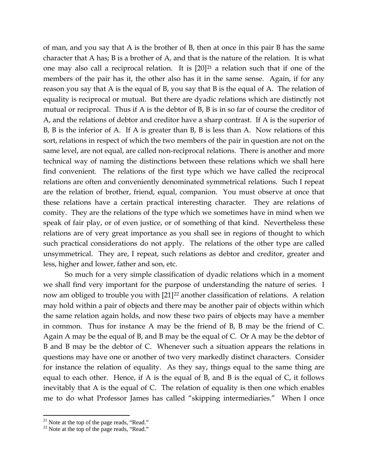of man, and you say that A is the brother of B, then at once in this pair B has the same character that A has; B is a brother of A, and that is the nature of the relation. It is what one may also call a reciprocal relation. It is  $[20]^{21}$  $[20]^{21}$  $[20]^{21}$  a relation such that if one of the members of the pair has it, the other also has it in the same sense. Again, if for any reason you say that A is the equal of B, you say that B is the equal of A. The relation of equality is reciprocal or mutual. But there are dyadic relations which are distinctly not mutual or reciprocal. Thus if A is the debtor of B, B is in so far of course the creditor of A, and the relations of debtor and creditor have a sharp contrast. If A is the superior of B, B is the inferior of A. If A is greater than B, B is less than A. Now relations of this sort, relations in respect of which the two members of the pair in question are not on the same level, are not equal, are called non-reciprocal relations. There is another and more technical way of naming the distinctions between these relations which we shall here find convenient. The relations of the first type which we have called the reciprocal relations are often and conveniently denominated symmetrical relations. Such I repeat are the relation of brother, friend, equal, companion. You must observe at once that these relations have a certain practical interesting character. They are relations of comity. They are the relations of the type which we sometimes have in mind when we speak of fair play, or of even justice, or of something of that kind. Nevertheless these relations are of very great importance as you shall see in regions of thought to which such practical considerations do not apply. The relations of the other type are called unsymmetrical. They are, I repeat, such relations as debtor and creditor, greater and less, higher and lower, father and son, etc.

So much for a very simple classification of dyadic relations which in a moment we shall find very important for the purpose of understanding the nature of series. I now am obliged to trouble you with [21]<sup>[22](#page-25-1)</sup> another classification of relations. A relation may hold within a pair of objects and there may be another pair of objects within which the same relation again holds, and now these two pairs of objects may have a member in common. Thus for instance A may be the friend of B, B may be the friend of C. Again A may be the equal of B, and B may be the equal of C. Or A may be the debtor of B and B may be the debtor of C. Whenever such a situation appears the relations in questions may have one or another of two very markedly distinct characters. Consider for instance the relation of equality. As they say, things equal to the same thing are equal to each other. Hence, if A is the equal of B, and B is the equal of C, it follows inevitably that A is the equal of C. The relation of equality is then one which enables me to do what Professor James has called "skipping intermediaries." When I once

<span id="page-25-0"></span><sup>&</sup>lt;sup>21</sup> Note at the top of the page reads, "Read."

<span id="page-25-1"></span> $22$  Note at the top of the page reads, "Read."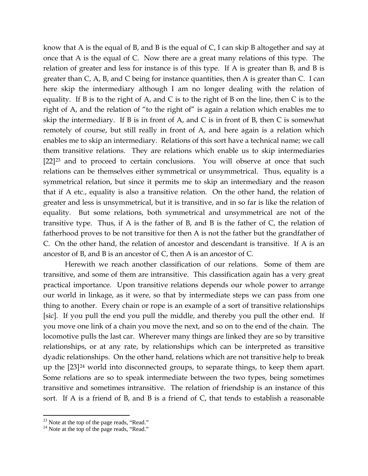know that A is the equal of B, and B is the equal of C, I can skip B altogether and say at once that A is the equal of C. Now there are a great many relations of this type. The relation of greater and less for instance is of this type. If A is greater than B, and B is greater than C, A, B, and C being for instance quantities, then A is greater than C. I can here skip the intermediary although I am no longer dealing with the relation of equality. If B is to the right of A, and C is to the right of B on the line, then C is to the right of A, and the relation of "to the right of" is again a relation which enables me to skip the intermediary. If B is in front of A, and C is in front of B, then C is somewhat remotely of course, but still really in front of A, and here again is a relation which enables me to skip an intermediary. Relations of this sort have a technical name; we call them transitive relations. They are relations which enable us to skip intermediaries  $[22]^{23}$  $[22]^{23}$  $[22]^{23}$  and to proceed to certain conclusions. You will observe at once that such relations can be themselves either symmetrical or unsymmetrical. Thus, equality is a symmetrical relation, but since it permits me to skip an intermediary and the reason that if A etc., equality is also a transitive relation. On the other hand, the relation of greater and less is unsymmetrical, but it is transitive, and in so far is like the relation of equality. But some relations, both symmetrical and unsymmetrical are not of the transitive type. Thus, if A is the father of B, and B is the father of C, the relation of fatherhood proves to be not transitive for then A is not the father but the grandfather of C. On the other hand, the relation of ancestor and descendant is transitive. If A is an ancestor of B, and B is an ancestor of C, then A is an ancestor of C.

Herewith we reach another classification of our relations. Some of them are transitive, and some of them are intransitive. This classification again has a very great practical importance. Upon transitive relations depends our whole power to arrange our world in linkage, as it were, so that by intermediate steps we can pass from one thing to another. Every chain or rope is an example of a sort of transitive relationships [sic]. If you pull the end you pull the middle, and thereby you pull the other end. If you move one link of a chain you move the next, and so on to the end of the chain. The locomotive pulls the last car. Wherever many things are linked they are so by transitive relationships, or at any rate, by relationships which can be interpreted as transitive dyadic relationships. On the other hand, relations which are not transitive help to break up the [23][24](#page-26-1) world into disconnected groups, to separate things, to keep them apart. Some relations are so to speak intermediate between the two types, being sometimes transitive and sometimes intransitive. The relation of friendship is an instance of this sort. If A is a friend of B, and B is a friend of C, that tends to establish a reasonable

<span id="page-26-0"></span><sup>&</sup>lt;sup>23</sup> Note at the top of the page reads, "Read."

<span id="page-26-1"></span> $24$  Note at the top of the page reads, "Read."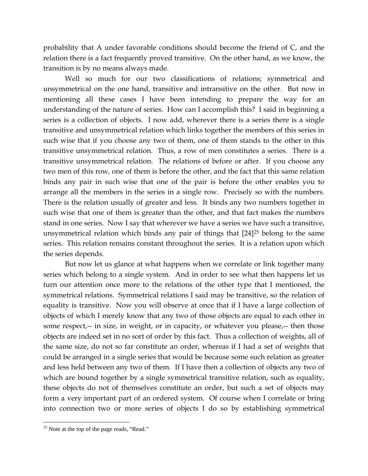probability that A under favorable conditions should become the friend of C, and the relation there is a fact frequently proved transitive. On the other hand, as we know, the transition is by no means always made.

Well so much for our two classifications of relations; symmetrical and unsymmetrical on the one hand, transitive and intransitive on the other. But now in mentioning all these cases I have been intending to prepare the way for an understanding of the nature of series. How can I accomplish this? I said in beginning a series is a collection of objects. I now add, wherever there is a series there is a single transitive and unsymmetrical relation which links together the members of this series in such wise that if you choose any two of them, one of them stands to the other in this transitive unsymmetrical relation. Thus, a row of men constitutes a series. There is a transitive unsymmetrical relation. The relations of before or after. If you choose any two men of this row, one of them is before the other, and the fact that this same relation binds any pair in such wise that one of the pair is before the other enables you to arrange all the members in the series in a single row. Precisely so with the numbers. There is the relation usually of greater and less. It binds any two numbers together in such wise that one of them is greater than the other, and that fact makes the numbers stand in one series. Now I say that wherever we have a series we have such a transitive, unsymmetrical relation which binds any pair of things that [24][25](#page-27-0) belong to the same series. This relation remains constant throughout the series. It is a relation upon which the series depends.

But now let us glance at what happens when we correlate or link together many series which belong to a single system. And in order to see what then happens let us turn our attention once more to the relations of the other type that I mentioned, the symmetrical relations. Symmetrical relations I said may be transitive, so the relation of equality is transitive. Now you will observe at once that if I have a large collection of objects of which I merely know that any two of those objects are equal to each other in some respect,-- in size, in weight, or in capacity, or whatever you please,-- then those objects are indeed set in no sort of order by this fact. Thus a collection of weights, all of the same size, do not so far constitute an order, whereas if I had a set of weights that could be arranged in a single series that would be because some such relation as greater and less held between any two of them. If I have then a collection of objects any two of which are bound together by a single symmetrical transitive relation, such as equality, these objects do not of themselves constitute an order, but such a set of objects may form a very important part of an ordered system. Of course when I correlate or bring into connection two or more series of objects I do so by establishing symmetrical

<span id="page-27-0"></span><sup>&</sup>lt;sup>25</sup> Note at the top of the page reads, "Read."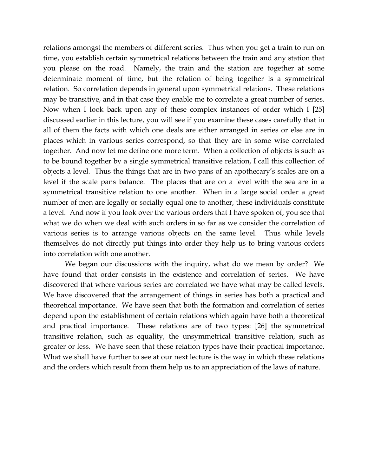relations amongst the members of different series. Thus when you get a train to run on time, you establish certain symmetrical relations between the train and any station that you please on the road. Namely, the train and the station are together at some determinate moment of time, but the relation of being together is a symmetrical relation. So correlation depends in general upon symmetrical relations. These relations may be transitive, and in that case they enable me to correlate a great number of series. Now when I look back upon any of these complex instances of order which I [25] discussed earlier in this lecture, you will see if you examine these cases carefully that in all of them the facts with which one deals are either arranged in series or else are in places which in various series correspond, so that they are in some wise correlated together. And now let me define one more term. When a collection of objects is such as to be bound together by a single symmetrical transitive relation, I call this collection of objects a level. Thus the things that are in two pans of an apothecary's scales are on a level if the scale pans balance. The places that are on a level with the sea are in a symmetrical transitive relation to one another. When in a large social order a great number of men are legally or socially equal one to another, these individuals constitute a level. And now if you look over the various orders that I have spoken of, you see that what we do when we deal with such orders in so far as we consider the correlation of various series is to arrange various objects on the same level. Thus while levels themselves do not directly put things into order they help us to bring various orders into correlation with one another.

We began our discussions with the inquiry, what do we mean by order? We have found that order consists in the existence and correlation of series. We have discovered that where various series are correlated we have what may be called levels. We have discovered that the arrangement of things in series has both a practical and theoretical importance. We have seen that both the formation and correlation of series depend upon the establishment of certain relations which again have both a theoretical and practical importance. These relations are of two types: [26] the symmetrical transitive relation, such as equality, the unsymmetrical transitive relation, such as greater or less. We have seen that these relation types have their practical importance. What we shall have further to see at our next lecture is the way in which these relations and the orders which result from them help us to an appreciation of the laws of nature.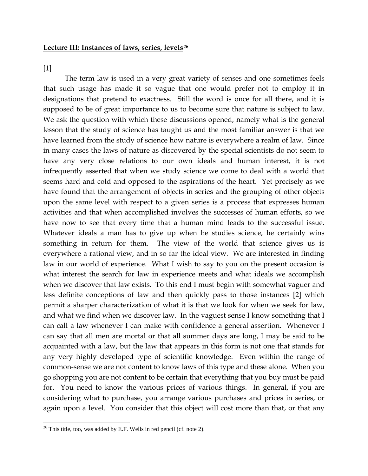#### **Lecture III: Instances of laws, series, levels[26](#page-29-0)**

[1]

 $\overline{a}$ 

The term law is used in a very great variety of senses and one sometimes feels that such usage has made it so vague that one would prefer not to employ it in designations that pretend to exactness. Still the word is once for all there, and it is supposed to be of great importance to us to become sure that nature is subject to law. We ask the question with which these discussions opened, namely what is the general lesson that the study of science has taught us and the most familiar answer is that we have learned from the study of science how nature is everywhere a realm of law. Since in many cases the laws of nature as discovered by the special scientists do not seem to have any very close relations to our own ideals and human interest, it is not infrequently asserted that when we study science we come to deal with a world that seems hard and cold and opposed to the aspirations of the heart. Yet precisely as we have found that the arrangement of objects in series and the grouping of other objects upon the same level with respect to a given series is a process that expresses human activities and that when accomplished involves the successes of human efforts, so we have now to see that every time that a human mind leads to the successful issue. Whatever ideals a man has to give up when he studies science, he certainly wins something in return for them. The view of the world that science gives us is everywhere a rational view, and in so far the ideal view. We are interested in finding law in our world of experience. What I wish to say to you on the present occasion is what interest the search for law in experience meets and what ideals we accomplish when we discover that law exists. To this end I must begin with somewhat vaguer and less definite conceptions of law and then quickly pass to those instances [2] which permit a sharper characterization of what it is that we look for when we seek for law, and what we find when we discover law. In the vaguest sense I know something that I can call a law whenever I can make with confidence a general assertion. Whenever I can say that all men are mortal or that all summer days are long, I may be said to be acquainted with a law, but the law that appears in this form is not one that stands for any very highly developed type of scientific knowledge. Even within the range of common-sense we are not content to know laws of this type and these alone. When you go shopping you are not content to be certain that everything that you buy must be paid for. You need to know the various prices of various things. In general, if you are considering what to purchase, you arrange various purchases and prices in series, or again upon a level. You consider that this object will cost more than that, or that any

<span id="page-29-0"></span> $26$  This title, too, was added by E.F. Wells in red pencil (cf. note 2).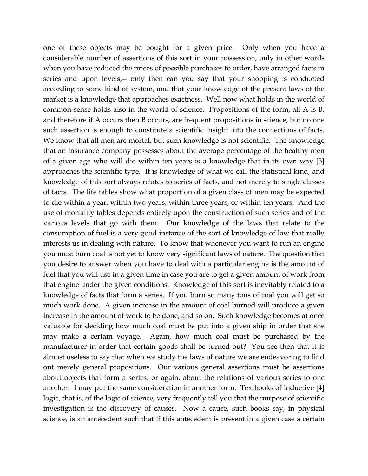one of these objects may be bought for a given price. Only when you have a considerable number of assertions of this sort in your possession, only in other words when you have reduced the prices of possible purchases to order, have arranged facts in series and upon levels,-- only then can you say that your shopping is conducted according to some kind of system, and that your knowledge of the present laws of the market is a knowledge that approaches exactness. Well now what holds in the world of common-sense holds also in the world of science. Propositions of the form, all A is B, and therefore if A occurs then B occurs, are frequent propositions in science, but no one such assertion is enough to constitute a scientific insight into the connections of facts. We know that all men are mortal, but such knowledge is not scientific. The knowledge that an insurance company possesses about the average percentage of the healthy men of a given age who will die within ten years is a knowledge that in its own way [3] approaches the scientific type. It is knowledge of what we call the statistical kind, and knowledge of this sort always relates to series of facts, and not merely to single classes of facts. The life tables show what proportion of a given class of men may be expected to die within a year, within two years, within three years, or within ten years. And the use of mortality tables depends entirely upon the construction of such series and of the various levels that go with them. Our knowledge of the laws that relate to the consumption of fuel is a very good instance of the sort of knowledge of law that really interests us in dealing with nature. To know that whenever you want to run an engine you must burn coal is not yet to know very significant laws of nature. The question that you desire to answer when you have to deal with a particular engine is the amount of fuel that you will use in a given time in case you are to get a given amount of work from that engine under the given conditions. Knowledge of this sort is inevitably related to a knowledge of facts that form a series. If you burn so many tons of coal you will get so much work done. A given increase in the amount of coal burned will produce a given increase in the amount of work to be done, and so on. Such knowledge becomes at once valuable for deciding how much coal must be put into a given ship in order that she may make a certain voyage. Again, how much coal must be purchased by the manufacturer in order that certain goods shall be turned out? You see then that it is almost useless to say that when we study the laws of nature we are endeavoring to find out merely general propositions. Our various general assertions must be assertions about objects that form a series, or again, about the relations of various series to one another. I may put the same consideration in another form. Textbooks of inductive [4] logic, that is, of the logic of science, very frequently tell you that the purpose of scientific investigation is the discovery of causes. Now a cause, such books say, in physical science, is an antecedent such that if this antecedent is present in a given case a certain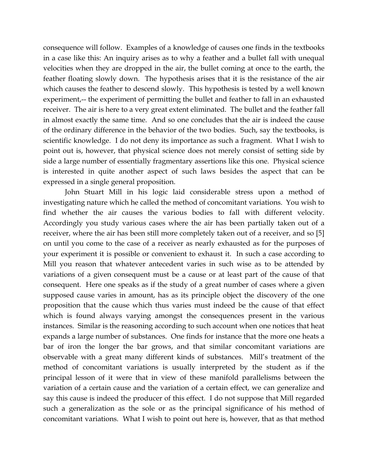consequence will follow. Examples of a knowledge of causes one finds in the textbooks in a case like this: An inquiry arises as to why a feather and a bullet fall with unequal velocities when they are dropped in the air, the bullet coming at once to the earth, the feather floating slowly down. The hypothesis arises that it is the resistance of the air which causes the feather to descend slowly. This hypothesis is tested by a well known experiment,-- the experiment of permitting the bullet and feather to fall in an exhausted receiver. The air is here to a very great extent eliminated. The bullet and the feather fall in almost exactly the same time. And so one concludes that the air is indeed the cause of the ordinary difference in the behavior of the two bodies. Such, say the textbooks, is scientific knowledge. I do not deny its importance as such a fragment. What I wish to point out is, however, that physical science does not merely consist of setting side by side a large number of essentially fragmentary assertions like this one. Physical science is interested in quite another aspect of such laws besides the aspect that can be expressed in a single general proposition.

John Stuart Mill in his logic laid considerable stress upon a method of investigating nature which he called the method of concomitant variations. You wish to find whether the air causes the various bodies to fall with different velocity. Accordingly you study various cases where the air has been partially taken out of a receiver, where the air has been still more completely taken out of a receiver, and so [5] on until you come to the case of a receiver as nearly exhausted as for the purposes of your experiment it is possible or convenient to exhaust it. In such a case according to Mill you reason that whatever antecedent varies in such wise as to be attended by variations of a given consequent must be a cause or at least part of the cause of that consequent. Here one speaks as if the study of a great number of cases where a given supposed cause varies in amount, has as its principle object the discovery of the one proposition that the cause which thus varies must indeed be the cause of that effect which is found always varying amongst the consequences present in the various instances. Similar is the reasoning according to such account when one notices that heat expands a large number of substances. One finds for instance that the more one heats a bar of iron the longer the bar grows, and that similar concomitant variations are observable with a great many different kinds of substances. Mill's treatment of the method of concomitant variations is usually interpreted by the student as if the principal lesson of it were that in view of these manifold parallelisms between the variation of a certain cause and the variation of a certain effect, we can generalize and say this cause is indeed the producer of this effect. I do not suppose that Mill regarded such a generalization as the sole or as the principal significance of his method of concomitant variations. What I wish to point out here is, however, that as that method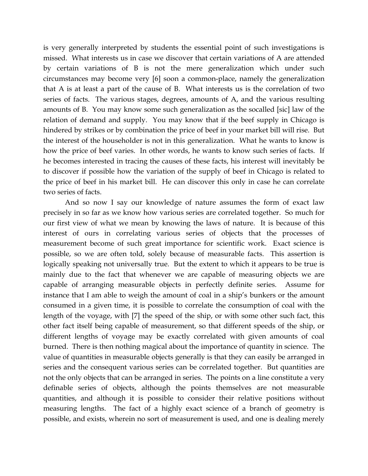is very generally interpreted by students the essential point of such investigations is missed. What interests us in case we discover that certain variations of A are attended by certain variations of B is not the mere generalization which under such circumstances may become very [6] soon a common-place, namely the generalization that A is at least a part of the cause of B. What interests us is the correlation of two series of facts. The various stages, degrees, amounts of A, and the various resulting amounts of B. You may know some such generalization as the socalled [sic] law of the relation of demand and supply. You may know that if the beef supply in Chicago is hindered by strikes or by combination the price of beef in your market bill will rise. But the interest of the householder is not in this generalization. What he wants to know is how the price of beef varies. In other words, he wants to know such series of facts. If he becomes interested in tracing the causes of these facts, his interest will inevitably be to discover if possible how the variation of the supply of beef in Chicago is related to the price of beef in his market bill. He can discover this only in case he can correlate two series of facts.

And so now I say our knowledge of nature assumes the form of exact law precisely in so far as we know how various series are correlated together. So much for our first view of what we mean by knowing the laws of nature. It is because of this interest of ours in correlating various series of objects that the processes of measurement become of such great importance for scientific work. Exact science is possible, so we are often told, solely because of measurable facts. This assertion is logically speaking not universally true. But the extent to which it appears to be true is mainly due to the fact that whenever we are capable of measuring objects we are capable of arranging measurable objects in perfectly definite series. Assume for instance that I am able to weigh the amount of coal in a ship's bunkers or the amount consumed in a given time, it is possible to correlate the consumption of coal with the length of the voyage, with [7] the speed of the ship, or with some other such fact, this other fact itself being capable of measurement, so that different speeds of the ship, or different lengths of voyage may be exactly correlated with given amounts of coal burned. There is then nothing magical about the importance of quantity in science. The value of quantities in measurable objects generally is that they can easily be arranged in series and the consequent various series can be correlated together. But quantities are not the only objects that can be arranged in series. The points on a line constitute a very definable series of objects, although the points themselves are not measurable quantities, and although it is possible to consider their relative positions without measuring lengths. The fact of a highly exact science of a branch of geometry is possible, and exists, wherein no sort of measurement is used, and one is dealing merely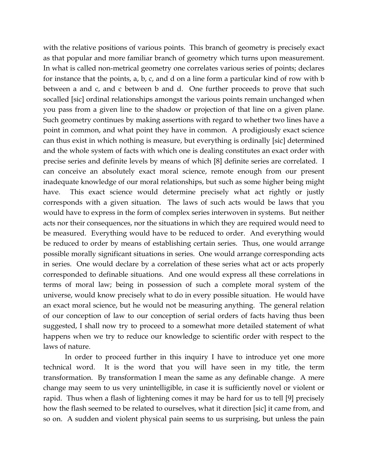with the relative positions of various points. This branch of geometry is precisely exact as that popular and more familiar branch of geometry which turns upon measurement. In what is called non-metrical geometry one correlates various series of points; declares for instance that the points, a, b, c, and d on a line form a particular kind of row with b between a and c, and c between b and d. One further proceeds to prove that such socalled [sic] ordinal relationships amongst the various points remain unchanged when you pass from a given line to the shadow or projection of that line on a given plane. Such geometry continues by making assertions with regard to whether two lines have a point in common, and what point they have in common. A prodigiously exact science can thus exist in which nothing is measure, but everything is ordinally [sic] determined and the whole system of facts with which one is dealing constitutes an exact order with precise series and definite levels by means of which [8] definite series are correlated. I can conceive an absolutely exact moral science, remote enough from our present inadequate knowledge of our moral relationships, but such as some higher being might have. This exact science would determine precisely what act rightly or justly corresponds with a given situation. The laws of such acts would be laws that you would have to express in the form of complex series interwoven in systems. But neither acts nor their consequences, nor the situations in which they are required would need to be measured. Everything would have to be reduced to order. And everything would be reduced to order by means of establishing certain series. Thus, one would arrange possible morally significant situations in series. One would arrange corresponding acts in series. One would declare by a correlation of these series what act or acts properly corresponded to definable situations. And one would express all these correlations in terms of moral law; being in possession of such a complete moral system of the universe, would know precisely what to do in every possible situation. He would have an exact moral science, but he would not be measuring anything. The general relation of our conception of law to our conception of serial orders of facts having thus been suggested, I shall now try to proceed to a somewhat more detailed statement of what happens when we try to reduce our knowledge to scientific order with respect to the laws of nature.

In order to proceed further in this inquiry I have to introduce yet one more technical word. It is the word that you will have seen in my title, the term transformation. By transformation I mean the same as any definable change. A mere change may seem to us very unintelligible, in case it is sufficiently novel or violent or rapid. Thus when a flash of lightening comes it may be hard for us to tell [9] precisely how the flash seemed to be related to ourselves, what it direction [sic] it came from, and so on. A sudden and violent physical pain seems to us surprising, but unless the pain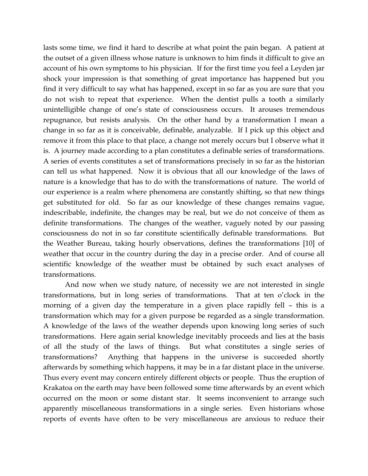lasts some time, we find it hard to describe at what point the pain began. A patient at the outset of a given illness whose nature is unknown to him finds it difficult to give an account of his own symptoms to his physician. If for the first time you feel a Leyden jar shock your impression is that something of great importance has happened but you find it very difficult to say what has happened, except in so far as you are sure that you do not wish to repeat that experience. When the dentist pulls a tooth a similarly unintelligible change of one's state of consciousness occurs. It arouses tremendous repugnance, but resists analysis. On the other hand by a transformation I mean a change in so far as it is conceivable, definable, analyzable. If I pick up this object and remove it from this place to that place, a change not merely occurs but I observe what it is. A journey made according to a plan constitutes a definable series of transformations. A series of events constitutes a set of transformations precisely in so far as the historian can tell us what happened. Now it is obvious that all our knowledge of the laws of nature is a knowledge that has to do with the transformations of nature. The world of our experience is a realm where phenomena are constantly shifting, so that new things get substituted for old. So far as our knowledge of these changes remains vague, indescribable, indefinite, the changes may be real, but we do not conceive of them as definite transformations. The changes of the weather, vaguely noted by our passing consciousness do not in so far constitute scientifically definable transformations. But the Weather Bureau, taking hourly observations, defines the transformations [10] of weather that occur in the country during the day in a precise order. And of course all scientific knowledge of the weather must be obtained by such exact analyses of transformations.

And now when we study nature, of necessity we are not interested in single transformations, but in long series of transformations. That at ten o'clock in the morning of a given day the temperature in a given place rapidly fell – this is a transformation which may for a given purpose be regarded as a single transformation. A knowledge of the laws of the weather depends upon knowing long series of such transformations. Here again serial knowledge inevitably proceeds and lies at the basis of all the study of the laws of things. But what constitutes a single series of transformations? Anything that happens in the universe is succeeded shortly afterwards by something which happens, it may be in a far distant place in the universe. Thus every event may concern entirely different objects or people. Thus the eruption of Krakatoa on the earth may have been followed some time afterwards by an event which occurred on the moon or some distant star. It seems inconvenient to arrange such apparently miscellaneous transformations in a single series. Even historians whose reports of events have often to be very miscellaneous are anxious to reduce their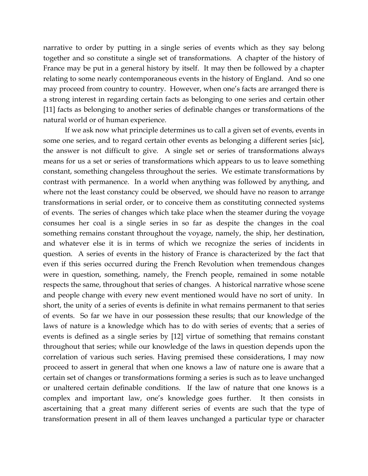narrative to order by putting in a single series of events which as they say belong together and so constitute a single set of transformations. A chapter of the history of France may be put in a general history by itself. It may then be followed by a chapter relating to some nearly contemporaneous events in the history of England. And so one may proceed from country to country. However, when one's facts are arranged there is a strong interest in regarding certain facts as belonging to one series and certain other [11] facts as belonging to another series of definable changes or transformations of the natural world or of human experience.

If we ask now what principle determines us to call a given set of events, events in some one series, and to regard certain other events as belonging a different series [sic], the answer is not difficult to give. A single set or series of transformations always means for us a set or series of transformations which appears to us to leave something constant, something changeless throughout the series. We estimate transformations by contrast with permanence. In a world when anything was followed by anything, and where not the least constancy could be observed, we should have no reason to arrange transformations in serial order, or to conceive them as constituting connected systems of events. The series of changes which take place when the steamer during the voyage consumes her coal is a single series in so far as despite the changes in the coal something remains constant throughout the voyage, namely, the ship, her destination, and whatever else it is in terms of which we recognize the series of incidents in question. A series of events in the history of France is characterized by the fact that even if this series occurred during the French Revolution when tremendous changes were in question, something, namely, the French people, remained in some notable respects the same, throughout that series of changes. A historical narrative whose scene and people change with every new event mentioned would have no sort of unity. In short, the unity of a series of events is definite in what remains permanent to that series of events. So far we have in our possession these results; that our knowledge of the laws of nature is a knowledge which has to do with series of events; that a series of events is defined as a single series by [12] virtue of something that remains constant throughout that series; while our knowledge of the laws in question depends upon the correlation of various such series. Having premised these considerations, I may now proceed to assert in general that when one knows a law of nature one is aware that a certain set of changes or transformations forming a series is such as to leave unchanged or unaltered certain definable conditions. If the law of nature that one knows is a complex and important law, one's knowledge goes further. It then consists in ascertaining that a great many different series of events are such that the type of transformation present in all of them leaves unchanged a particular type or character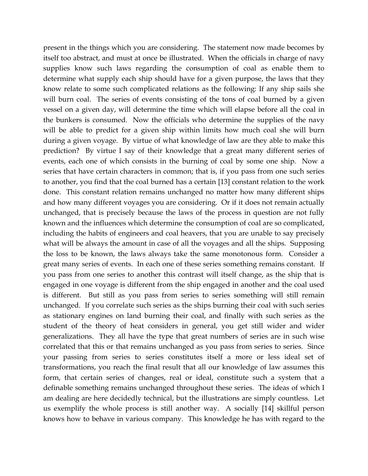present in the things which you are considering. The statement now made becomes by itself too abstract, and must at once be illustrated. When the officials in charge of navy supplies know such laws regarding the consumption of coal as enable them to determine what supply each ship should have for a given purpose, the laws that they know relate to some such complicated relations as the following: If any ship sails she will burn coal. The series of events consisting of the tons of coal burned by a given vessel on a given day, will determine the time which will elapse before all the coal in the bunkers is consumed. Now the officials who determine the supplies of the navy will be able to predict for a given ship within limits how much coal she will burn during a given voyage. By virtue of what knowledge of law are they able to make this prediction? By virtue I say of their knowledge that a great many different series of events, each one of which consists in the burning of coal by some one ship. Now a series that have certain characters in common; that is, if you pass from one such series to another, you find that the coal burned has a certain [13] constant relation to the work done. This constant relation remains unchanged no matter how many different ships and how many different voyages you are considering. Or if it does not remain actually unchanged, that is precisely because the laws of the process in question are not fully known and the influences which determine the consumption of coal are so complicated, including the habits of engineers and coal heavers, that you are unable to say precisely what will be always the amount in case of all the voyages and all the ships. Supposing the loss to be known, the laws always take the same monotonous form. Consider a great many series of events. In each one of these series something remains constant. If you pass from one series to another this contrast will itself change, as the ship that is engaged in one voyage is different from the ship engaged in another and the coal used is different. But still as you pass from series to series something will still remain unchanged. If you correlate such series as the ships burning their coal with such series as stationary engines on land burning their coal, and finally with such series as the student of the theory of heat considers in general, you get still wider and wider generalizations. They all have the type that great numbers of series are in such wise correlated that this or that remains unchanged as you pass from series to series. Since your passing from series to series constitutes itself a more or less ideal set of transformations, you reach the final result that all our knowledge of law assumes this form, that certain series of changes, real or ideal, constitute such a system that a definable something remains unchanged throughout these series. The ideas of which I am dealing are here decidedly technical, but the illustrations are simply countless. Let us exemplify the whole process is still another way. A socially [14] skillful person knows how to behave in various company. This knowledge he has with regard to the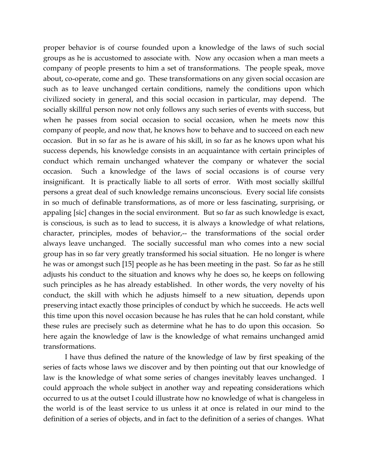proper behavior is of course founded upon a knowledge of the laws of such social groups as he is accustomed to associate with. Now any occasion when a man meets a company of people presents to him a set of transformations. The people speak, move about, co-operate, come and go. These transformations on any given social occasion are such as to leave unchanged certain conditions, namely the conditions upon which civilized society in general, and this social occasion in particular, may depend. The socially skillful person now not only follows any such series of events with success, but when he passes from social occasion to social occasion, when he meets now this company of people, and now that, he knows how to behave and to succeed on each new occasion. But in so far as he is aware of his skill, in so far as he knows upon what his success depends, his knowledge consists in an acquaintance with certain principles of conduct which remain unchanged whatever the company or whatever the social occasion. Such a knowledge of the laws of social occasions is of course very insignificant. It is practically liable to all sorts of error. With most socially skillful persons a great deal of such knowledge remains unconscious. Every social life consists in so much of definable transformations, as of more or less fascinating, surprising, or appaling [sic] changes in the social environment. But so far as such knowledge is exact, is conscious, is such as to lead to success, it is always a knowledge of what relations, character, principles, modes of behavior,-- the transformations of the social order always leave unchanged. The socially successful man who comes into a new social group has in so far very greatly transformed his social situation. He no longer is where he was or amongst such [15] people as he has been meeting in the past. So far as he still adjusts his conduct to the situation and knows why he does so, he keeps on following such principles as he has already established. In other words, the very novelty of his conduct, the skill with which he adjusts himself to a new situation, depends upon preserving intact exactly those principles of conduct by which he succeeds. He acts well this time upon this novel occasion because he has rules that he can hold constant, while these rules are precisely such as determine what he has to do upon this occasion. So here again the knowledge of law is the knowledge of what remains unchanged amid transformations.

I have thus defined the nature of the knowledge of law by first speaking of the series of facts whose laws we discover and by then pointing out that our knowledge of law is the knowledge of what some series of changes inevitably leaves unchanged. I could approach the whole subject in another way and repeating considerations which occurred to us at the outset I could illustrate how no knowledge of what is changeless in the world is of the least service to us unless it at once is related in our mind to the definition of a series of objects, and in fact to the definition of a series of changes. What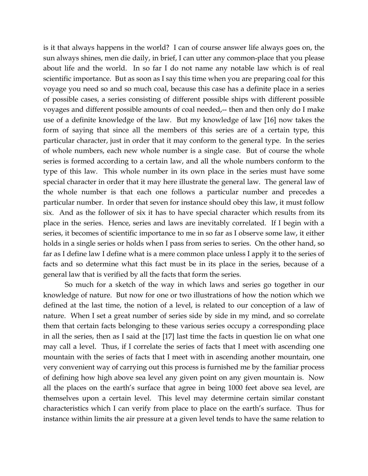is it that always happens in the world? I can of course answer life always goes on, the sun always shines, men die daily, in brief, I can utter any common-place that you please about life and the world. In so far I do not name any notable law which is of real scientific importance. But as soon as I say this time when you are preparing coal for this voyage you need so and so much coal, because this case has a definite place in a series of possible cases, a series consisting of different possible ships with different possible voyages and different possible amounts of coal needed,-- then and then only do I make use of a definite knowledge of the law. But my knowledge of law [16] now takes the form of saying that since all the members of this series are of a certain type, this particular character, just in order that it may conform to the general type. In the series of whole numbers, each new whole number is a single case. But of course the whole series is formed according to a certain law, and all the whole numbers conform to the type of this law. This whole number in its own place in the series must have some special character in order that it may here illustrate the general law. The general law of the whole number is that each one follows a particular number and precedes a particular number. In order that seven for instance should obey this law, it must follow six. And as the follower of six it has to have special character which results from its place in the series. Hence, series and laws are inevitably correlated. If I begin with a series, it becomes of scientific importance to me in so far as I observe some law, it either holds in a single series or holds when I pass from series to series. On the other hand, so far as I define law I define what is a mere common place unless I apply it to the series of facts and so determine what this fact must be in its place in the series, because of a general law that is verified by all the facts that form the series.

So much for a sketch of the way in which laws and series go together in our knowledge of nature. But now for one or two illustrations of how the notion which we defined at the last time, the notion of a level, is related to our conception of a law of nature. When I set a great number of series side by side in my mind, and so correlate them that certain facts belonging to these various series occupy a corresponding place in all the series, then as I said at the [17] last time the facts in question lie on what one may call a level. Thus, if I correlate the series of facts that I meet with ascending one mountain with the series of facts that I meet with in ascending another mountain, one very convenient way of carrying out this process is furnished me by the familiar process of defining how high above sea level any given point on any given mountain is. Now all the places on the earth's surface that agree in being 1000 feet above sea level, are themselves upon a certain level. This level may determine certain similar constant characteristics which I can verify from place to place on the earth's surface. Thus for instance within limits the air pressure at a given level tends to have the same relation to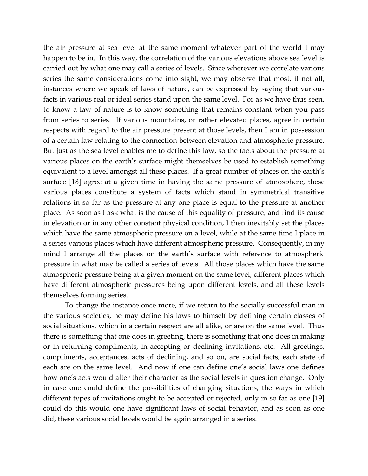the air pressure at sea level at the same moment whatever part of the world I may happen to be in. In this way, the correlation of the various elevations above sea level is carried out by what one may call a series of levels. Since wherever we correlate various series the same considerations come into sight, we may observe that most, if not all, instances where we speak of laws of nature, can be expressed by saying that various facts in various real or ideal series stand upon the same level. For as we have thus seen, to know a law of nature is to know something that remains constant when you pass from series to series. If various mountains, or rather elevated places, agree in certain respects with regard to the air pressure present at those levels, then I am in possession of a certain law relating to the connection between elevation and atmospheric pressure. But just as the sea level enables me to define this law, so the facts about the pressure at various places on the earth's surface might themselves be used to establish something equivalent to a level amongst all these places. If a great number of places on the earth's surface [18] agree at a given time in having the same pressure of atmosphere, these various places constitute a system of facts which stand in symmetrical transitive relations in so far as the pressure at any one place is equal to the pressure at another place. As soon as I ask what is the cause of this equality of pressure, and find its cause in elevation or in any other constant physical condition, I then inevitably set the places which have the same atmospheric pressure on a level, while at the same time I place in a series various places which have different atmospheric pressure. Consequently, in my mind I arrange all the places on the earth's surface with reference to atmospheric pressure in what may be called a series of levels. All those places which have the same atmospheric pressure being at a given moment on the same level, different places which have different atmospheric pressures being upon different levels, and all these levels themselves forming series.

To change the instance once more, if we return to the socially successful man in the various societies, he may define his laws to himself by defining certain classes of social situations, which in a certain respect are all alike, or are on the same level. Thus there is something that one does in greeting, there is something that one does in making or in returning compliments, in accepting or declining invitations, etc. All greetings, compliments, acceptances, acts of declining, and so on, are social facts, each state of each are on the same level. And now if one can define one's social laws one defines how one's acts would alter their character as the social levels in question change. Only in case one could define the possibilities of changing situations, the ways in which different types of invitations ought to be accepted or rejected, only in so far as one [19] could do this would one have significant laws of social behavior, and as soon as one did, these various social levels would be again arranged in a series.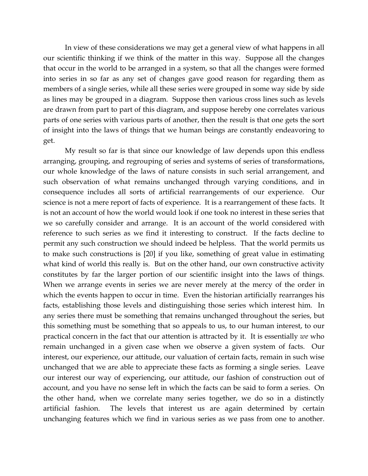In view of these considerations we may get a general view of what happens in all our scientific thinking if we think of the matter in this way. Suppose all the changes that occur in the world to be arranged in a system, so that all the changes were formed into series in so far as any set of changes gave good reason for regarding them as members of a single series, while all these series were grouped in some way side by side as lines may be grouped in a diagram. Suppose then various cross lines such as levels are drawn from part to part of this diagram, and suppose hereby one correlates various parts of one series with various parts of another, then the result is that one gets the sort of insight into the laws of things that we human beings are constantly endeavoring to get.

My result so far is that since our knowledge of law depends upon this endless arranging, grouping, and regrouping of series and systems of series of transformations, our whole knowledge of the laws of nature consists in such serial arrangement, and such observation of what remains unchanged through varying conditions, and in consequence includes all sorts of artificial rearrangements of our experience. Our science is not a mere report of facts of experience. It is a rearrangement of these facts. It is not an account of how the world would look if one took no interest in these series that we so carefully consider and arrange. It is an account of the world considered with reference to such series as we find it interesting to construct. If the facts decline to permit any such construction we should indeed be helpless. That the world permits us to make such constructions is [20] if you like, something of great value in estimating what kind of world this really is. But on the other hand, our own constructive activity constitutes by far the larger portion of our scientific insight into the laws of things. When we arrange events in series we are never merely at the mercy of the order in which the events happen to occur in time. Even the historian artificially rearranges his facts, establishing those levels and distinguishing those series which interest him. In any series there must be something that remains unchanged throughout the series, but this something must be something that so appeals to us, to our human interest, to our practical concern in the fact that our attention is attracted by it. It is essentially *we* who remain unchanged in a given case when we observe a given system of facts. Our interest, our experience, our attitude, our valuation of certain facts, remain in such wise unchanged that we are able to appreciate these facts as forming a single series. Leave our interest our way of experiencing, our attitude, our fashion of construction out of account, and you have no sense left in which the facts can be said to form a series. On the other hand, when we correlate many series together, we do so in a distinctly artificial fashion. The levels that interest us are again determined by certain unchanging features which we find in various series as we pass from one to another.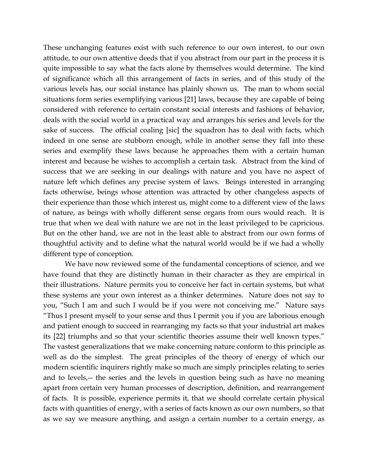These unchanging features exist with such reference to our own interest, to our own attitude, to our own attentive deeds that if you abstract from our part in the process it is quite impossible to say what the facts alone by themselves would determine. The kind of significance which all this arrangement of facts in series, and of this study of the various levels has, our social instance has plainly shown us. The man to whom social situations form series exemplifying various [21] laws, because they are capable of being considered with reference to certain constant social interests and fashions of behavior, deals with the social world in a practical way and arranges his series and levels for the sake of success. The official coaling [sic] the squadron has to deal with facts, which indeed in one sense are stubborn enough, while in another sense they fall into these series and exemplify these laws because he approaches them with a certain human interest and because he wishes to accomplish a certain task. Abstract from the kind of success that we are seeking in our dealings with nature and you have no aspect of nature left which defines any precise system of laws. Beings interested in arranging facts otherwise, beings whose attention was attracted by other changeless aspects of their experience than those which interest us, might come to a different view of the laws of nature, as beings with wholly different sense organs from ours would reach. It is true that when we deal with nature we are not in the least privileged to be capricious. But on the other hand, we are not in the least able to abstract from our own forms of thoughtful activity and to define what the natural world would be if we had a wholly different type of conception.

We have now reviewed some of the fundamental conceptions of science, and we have found that they are distinctly human in their character as they are empirical in their illustrations. Nature permits you to conceive her fact in certain systems, but what these systems are your own interest as a thinker determines. Nature does not say to you, "Such I am and such I would be if you were not conceiving me." Nature says "Thus I present myself to your sense and thus I permit you if you are laborious enough and patient enough to succeed in rearranging my facts so that your industrial art makes its [22] triumphs and so that your scientific theories assume their well known types." The vastest generalizations that we make concerning nature conform to this principle as well as do the simplest. The great principles of the theory of energy of which our modern scientific inquirers rightly make so much are simply principles relating to series and to levels,-- the series and the levels in question being such as have no meaning apart from certain very human processes of description, definition, and rearrangement of facts. It is possible, experience permits it, that we should correlate certain physical facts with quantities of energy, with a series of facts known as our own numbers, so that as we say we measure anything, and assign a certain number to a certain energy, as